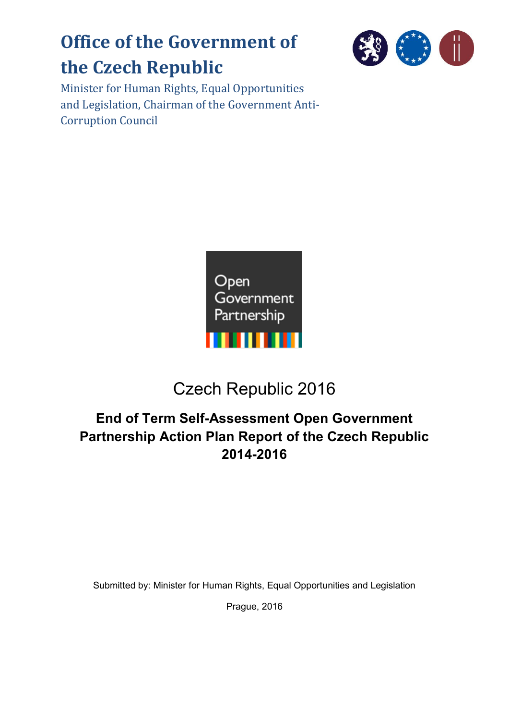# **Office of the Government of the Czech Republic**



Minister for Human Rights, Equal Opportunities and Legislation, Chairman of the Government Anti-Corruption Council



# Czech Republic 2016

# **End of Term Self-Assessment Open Government Partnership Action Plan Report of the Czech Republic 2014-2016**

Submitted by: Minister for Human Rights, Equal Opportunities and Legislation

Prague, 2016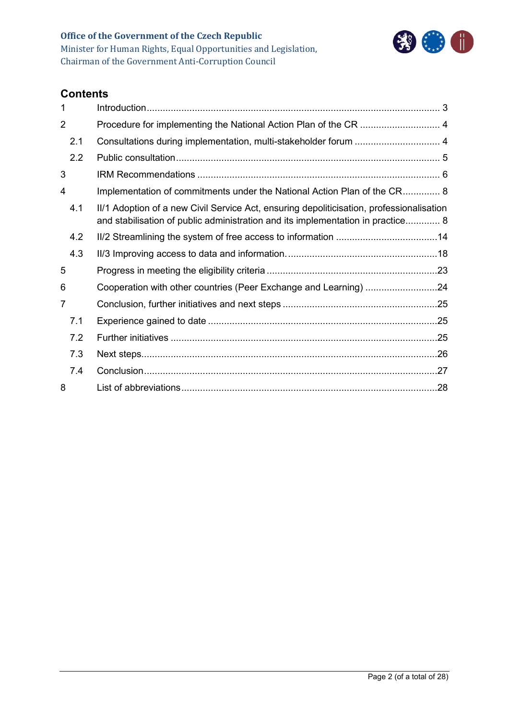

# **Contents**

| 1              |                                                                                                                                                                             |  |
|----------------|-----------------------------------------------------------------------------------------------------------------------------------------------------------------------------|--|
| $\overline{2}$ |                                                                                                                                                                             |  |
| 2.1            |                                                                                                                                                                             |  |
| 2.2            |                                                                                                                                                                             |  |
| 3              |                                                                                                                                                                             |  |
| 4              | Implementation of commitments under the National Action Plan of the CR 8                                                                                                    |  |
| 4.1            | II/1 Adoption of a new Civil Service Act, ensuring depoliticisation, professionalisation<br>and stabilisation of public administration and its implementation in practice 8 |  |
| 4.2            |                                                                                                                                                                             |  |
| 4.3            |                                                                                                                                                                             |  |
| 5              |                                                                                                                                                                             |  |
| 6              | Cooperation with other countries (Peer Exchange and Learning) 24                                                                                                            |  |
| 7              |                                                                                                                                                                             |  |
| 7.1            |                                                                                                                                                                             |  |
| 7.2            |                                                                                                                                                                             |  |
| 7.3            |                                                                                                                                                                             |  |
| 7.4            |                                                                                                                                                                             |  |
| 8              |                                                                                                                                                                             |  |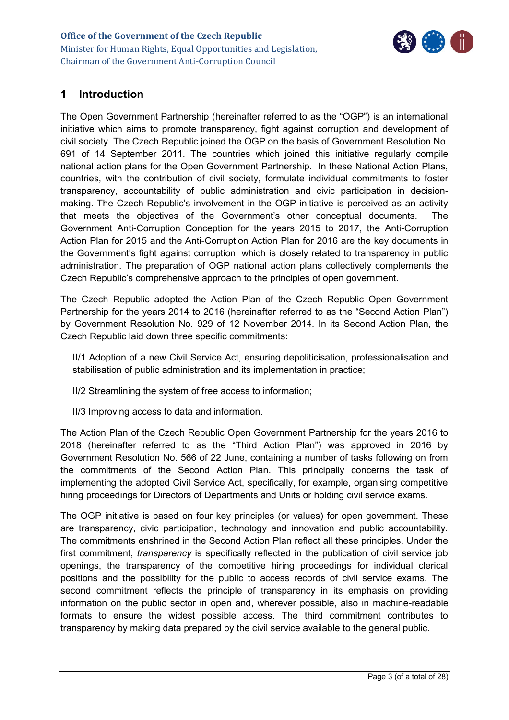

# <span id="page-2-0"></span>**1 Introduction**

The Open Government Partnership (hereinafter referred to as the "OGP") is an international initiative which aims to promote transparency, fight against corruption and development of civil society. The Czech Republic joined the OGP on the basis of Government Resolution No. 691 of 14 September 2011. The countries which joined this initiative regularly compile national action plans for the Open Government Partnership. In these National Action Plans, countries, with the contribution of civil society, formulate individual commitments to foster transparency, accountability of public administration and civic participation in decisionmaking. The Czech Republic's involvement in the OGP initiative is perceived as an activity that meets the objectives of the Government's other conceptual documents. The Government Anti-Corruption Conception for the years 2015 to 2017, the Anti-Corruption Action Plan for 2015 and the Anti-Corruption Action Plan for 2016 are the key documents in the Government's fight against corruption, which is closely related to transparency in public administration. The preparation of OGP national action plans collectively complements the Czech Republic's comprehensive approach to the principles of open government.

The Czech Republic adopted the Action Plan of the Czech Republic Open Government Partnership for the years 2014 to 2016 (hereinafter referred to as the "Second Action Plan") by Government Resolution No. 929 of 12 November 2014. In its Second Action Plan, the Czech Republic laid down three specific commitments:

II/1 Adoption of a new Civil Service Act, ensuring depoliticisation, professionalisation and stabilisation of public administration and its implementation in practice;

II/2 Streamlining the system of free access to information;

II/3 Improving access to data and information.

The Action Plan of the Czech Republic Open Government Partnership for the years 2016 to 2018 (hereinafter referred to as the "Third Action Plan") was approved in 2016 by Government Resolution No. 566 of 22 June, containing a number of tasks following on from the commitments of the Second Action Plan. This principally concerns the task of implementing the adopted Civil Service Act, specifically, for example, organising competitive hiring proceedings for Directors of Departments and Units or holding civil service exams.

The OGP initiative is based on four key principles (or values) for open government. These are transparency, civic participation, technology and innovation and public accountability. The commitments enshrined in the Second Action Plan reflect all these principles. Under the first commitment, *transparency* is specifically reflected in the publication of civil service job openings, the transparency of the competitive hiring proceedings for individual clerical positions and the possibility for the public to access records of civil service exams. The second commitment reflects the principle of transparency in its emphasis on providing information on the public sector in open and, wherever possible, also in machine-readable formats to ensure the widest possible access. The third commitment contributes to transparency by making data prepared by the civil service available to the general public.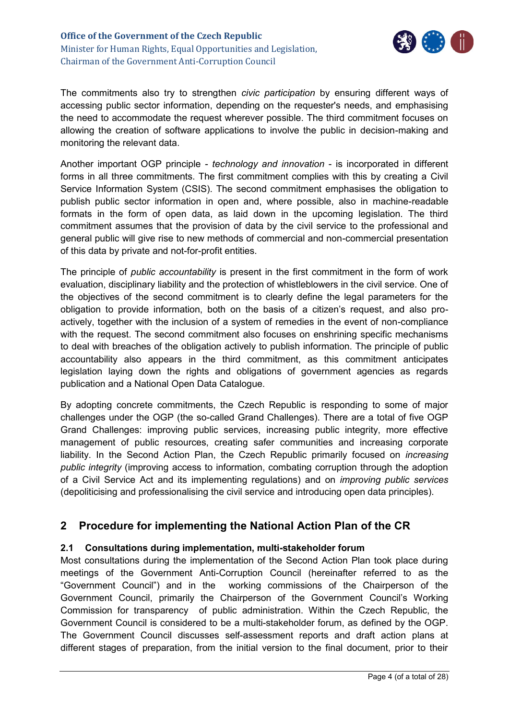

The commitments also try to strengthen *civic participation* by ensuring different ways of accessing public sector information, depending on the requester's needs, and emphasising the need to accommodate the request wherever possible. The third commitment focuses on allowing the creation of software applications to involve the public in decision-making and monitoring the relevant data.

Another important OGP principle - *technology and innovation* - is incorporated in different forms in all three commitments. The first commitment complies with this by creating a Civil Service Information System (CSIS). The second commitment emphasises the obligation to publish public sector information in open and, where possible, also in machine-readable formats in the form of open data, as laid down in the upcoming legislation. The third commitment assumes that the provision of data by the civil service to the professional and general public will give rise to new methods of commercial and non-commercial presentation of this data by private and not-for-profit entities.

The principle of *public accountability* is present in the first commitment in the form of work evaluation, disciplinary liability and the protection of whistleblowers in the civil service. One of the objectives of the second commitment is to clearly define the legal parameters for the obligation to provide information, both on the basis of a citizen's request, and also proactively, together with the inclusion of a system of remedies in the event of non-compliance with the request. The second commitment also focuses on enshrining specific mechanisms to deal with breaches of the obligation actively to publish information. The principle of public accountability also appears in the third commitment, as this commitment anticipates legislation laying down the rights and obligations of government agencies as regards publication and a National Open Data Catalogue.

By adopting concrete commitments, the Czech Republic is responding to some of major challenges under the OGP (the so-called Grand Challenges). There are a total of five OGP Grand Challenges: improving public services, increasing public integrity, more effective management of public resources, creating safer communities and increasing corporate liability. In the Second Action Plan, the Czech Republic primarily focused on *increasing public integrity* (improving access to information, combating corruption through the adoption of a Civil Service Act and its implementing regulations) and on *improving public services* (depoliticising and professionalising the civil service and introducing open data principles).

# <span id="page-3-0"></span>**2 Procedure for implementing the National Action Plan of the CR**

#### <span id="page-3-1"></span>**2.1 Consultations during implementation, multi-stakeholder forum**

Most consultations during the implementation of the Second Action Plan took place during meetings of the Government Anti-Corruption Council (hereinafter referred to as the "Government Council") and in the working commissions of the Chairperson of the Government Council, primarily the Chairperson of the Government Council's Working Commission for transparency of public administration. Within the Czech Republic, the Government Council is considered to be a multi-stakeholder forum, as defined by the OGP. The Government Council discusses self-assessment reports and draft action plans at different stages of preparation, from the initial version to the final document, prior to their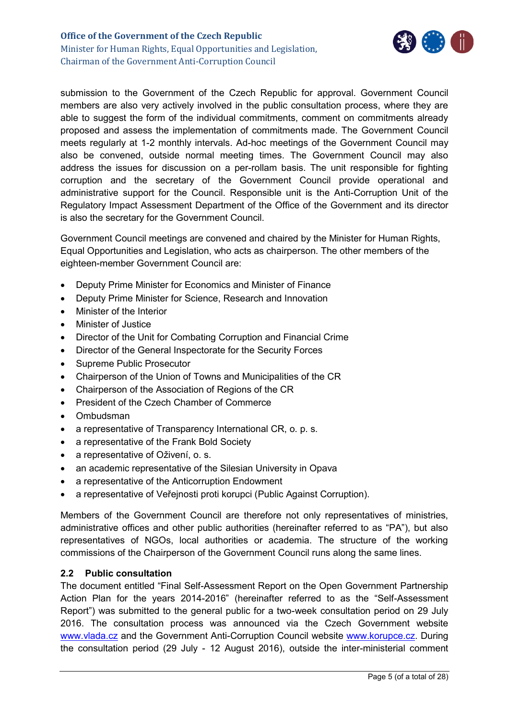

submission to the Government of the Czech Republic for approval. Government Council members are also very actively involved in the public consultation process, where they are able to suggest the form of the individual commitments, comment on commitments already proposed and assess the implementation of commitments made. The Government Council meets regularly at 1-2 monthly intervals. Ad-hoc meetings of the Government Council may also be convened, outside normal meeting times. The Government Council may also address the issues for discussion on a per-rollam basis. The unit responsible for fighting corruption and the secretary of the Government Council provide operational and administrative support for the Council. Responsible unit is the Anti-Corruption Unit of the Regulatory Impact Assessment Department of the Office of the Government and its director is also the secretary for the Government Council.

Government Council meetings are convened and chaired by the Minister for Human Rights, Equal Opportunities and Legislation, who acts as chairperson. The other members of the eighteen-member Government Council are:

- Deputy Prime Minister for Economics and Minister of Finance
- Deputy Prime Minister for Science, Research and Innovation
- Minister of the Interior
- **•** Minister of Justice
- Director of the Unit for Combating Corruption and Financial Crime
- Director of the General Inspectorate for the Security Forces
- Supreme Public Prosecutor
- Chairperson of the Union of Towns and Municipalities of the CR
- Chairperson of the Association of Regions of the CR
- President of the Czech Chamber of Commerce
- Ombudsman
- a representative of Transparency International CR, o. p. s.
- a representative of the Frank Bold Society
- a representative of Oživení, o. s.
- an academic representative of the Silesian University in Opava
- a representative of the Anticorruption Endowment
- a representative of Veřejnosti proti korupci (Public Against Corruption).

Members of the Government Council are therefore not only representatives of ministries, administrative offices and other public authorities (hereinafter referred to as "PA"), but also representatives of NGOs, local authorities or academia. The structure of the working commissions of the Chairperson of the Government Council runs along the same lines.

#### <span id="page-4-0"></span>**2.2 Public consultation**

The document entitled "Final Self-Assessment Report on the Open Government Partnership Action Plan for the years 2014-2016" (hereinafter referred to as the "Self-Assessment Report") was submitted to the general public for a two-week consultation period on 29 July 2016. The consultation process was announced via the Czech Government website [www.vlada.cz](http://www.vlada.cz/) and the Government Anti-Corruption Council website [www.korupce.cz.](http://www.korupce.cz/) During the consultation period (29 July - 12 August 2016), outside the inter-ministerial comment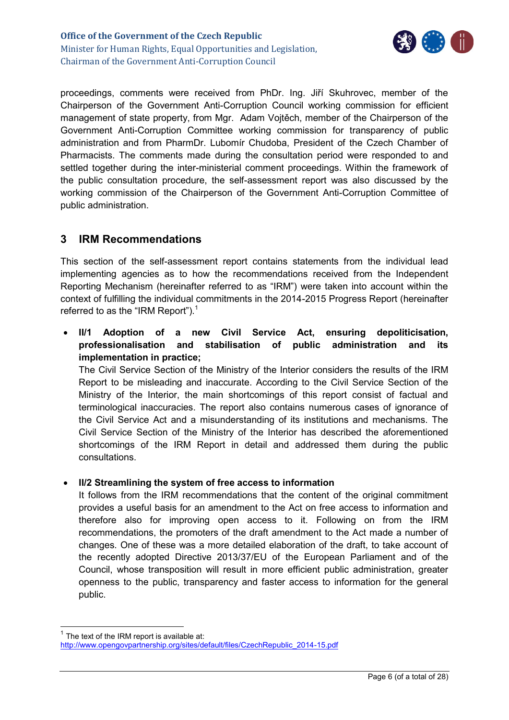

proceedings, comments were received from PhDr. Ing. Jiří Skuhrovec, member of the Chairperson of the Government Anti-Corruption Council working commission for efficient management of state property, from Mgr. Adam Vojtěch, member of the Chairperson of the Government Anti-Corruption Committee working commission for transparency of public administration and from PharmDr. Lubomír Chudoba, President of the Czech Chamber of Pharmacists. The comments made during the consultation period were responded to and settled together during the inter-ministerial comment proceedings. Within the framework of the public consultation procedure, the self-assessment report was also discussed by the working commission of the Chairperson of the Government Anti-Corruption Committee of public administration.

# <span id="page-5-0"></span>**3 IRM Recommendations**

This section of the self-assessment report contains statements from the individual lead implementing agencies as to how the recommendations received from the Independent Reporting Mechanism (hereinafter referred to as "IRM") were taken into account within the context of fulfilling the individual commitments in the 2014-2015 Progress Report (hereinafter referred to as the "IRM Report").<sup>1</sup>

 **II/1 Adoption of a new Civil Service Act, ensuring depoliticisation, professionalisation and stabilisation of public administration and its implementation in practice;**

The Civil Service Section of the Ministry of the Interior considers the results of the IRM Report to be misleading and inaccurate. According to the Civil Service Section of the Ministry of the Interior, the main shortcomings of this report consist of factual and terminological inaccuracies. The report also contains numerous cases of ignorance of the Civil Service Act and a misunderstanding of its institutions and mechanisms. The Civil Service Section of the Ministry of the Interior has described the aforementioned shortcomings of the IRM Report in detail and addressed them during the public consultations.

#### **II/2 Streamlining the system of free access to information**

It follows from the IRM recommendations that the content of the original commitment provides a useful basis for an amendment to the Act on free access to information and therefore also for improving open access to it. Following on from the IRM recommendations, the promoters of the draft amendment to the Act made a number of changes. One of these was a more detailed elaboration of the draft, to take account of the recently adopted Directive 2013/37/EU of the European Parliament and of the Council, whose transposition will result in more efficient public administration, greater openness to the public, transparency and faster access to information for the general public.

-

 $1$  The text of the IRM report is available at: [http://www.opengovpartnership.org/sites/default/files/CzechRepublic\\_2014-15.pdf](http://www.opengovpartnership.org/sites/default/files/CzechRepublic_2014-15.pdf)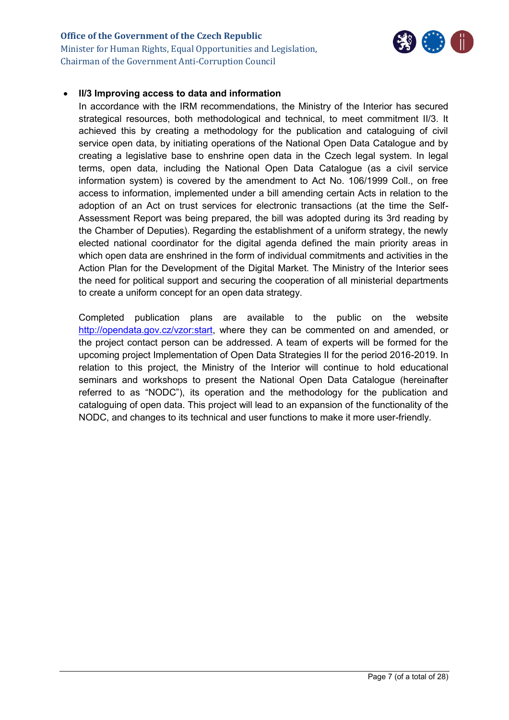#### **Office of the Government of the Czech Republic** Minister for Human Rights, Equal Opportunities and Legislation, Chairman of the Government Anti-Corruption Council



#### **II/3 Improving access to data and information**

In accordance with the IRM recommendations, the Ministry of the Interior has secured strategical resources, both methodological and technical, to meet commitment II/3. It achieved this by creating a methodology for the publication and cataloguing of civil service open data, by initiating operations of the National Open Data Catalogue and by creating a legislative base to enshrine open data in the Czech legal system. In legal terms, open data, including the National Open Data Catalogue (as a civil service information system) is covered by the amendment to Act No. 106/1999 Coll., on free access to information, implemented under a bill amending certain Acts in relation to the adoption of an Act on trust services for electronic transactions (at the time the Self-Assessment Report was being prepared, the bill was adopted during its 3rd reading by the Chamber of Deputies). Regarding the establishment of a uniform strategy, the newly elected national coordinator for the digital agenda defined the main priority areas in which open data are enshrined in the form of individual commitments and activities in the Action Plan for the Development of the Digital Market. The Ministry of the Interior sees the need for political support and securing the cooperation of all ministerial departments to create a uniform concept for an open data strategy.

Completed publication plans are available to the public on the website [http://opendata.gov.cz/vzor:start,](http://opendata.gov.cz/vzor:start) where they can be commented on and amended, or the project contact person can be addressed. A team of experts will be formed for the upcoming project Implementation of Open Data Strategies II for the period 2016-2019. In relation to this project, the Ministry of the Interior will continue to hold educational seminars and workshops to present the National Open Data Catalogue (hereinafter referred to as "NODC"), its operation and the methodology for the publication and cataloguing of open data. This project will lead to an expansion of the functionality of the NODC, and changes to its technical and user functions to make it more user-friendly.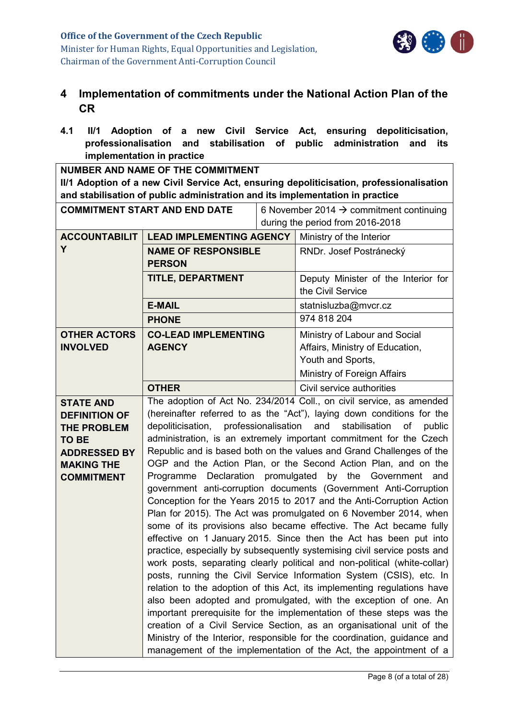

# <span id="page-7-0"></span>**4 Implementation of commitments under the National Action Plan of the CR**

<span id="page-7-1"></span>**4.1 II/1 Adoption of a new Civil Service Act, ensuring depoliticisation, professionalisation and stabilisation of public administration and its implementation in practice**

**NUMBER AND NAME OF THE COMMITMENT II/1 Adoption of a new Civil Service Act, ensuring depoliticisation, professionalisation and stabilisation of public administration and its implementation in practice**

| <b>COMMITMENT START AND END DATE</b>     |                                                                                                                                               | 6 November 2014 $\rightarrow$ commitment continuing |                                                                           |  |
|------------------------------------------|-----------------------------------------------------------------------------------------------------------------------------------------------|-----------------------------------------------------|---------------------------------------------------------------------------|--|
|                                          |                                                                                                                                               |                                                     | during the period from 2016-2018                                          |  |
| <b>ACCOUNTABILIT</b>                     | <b>LEAD IMPLEMENTING AGENCY</b>                                                                                                               |                                                     | Ministry of the Interior                                                  |  |
| Y                                        | <b>NAME OF RESPONSIBLE</b>                                                                                                                    |                                                     | RNDr. Josef Postránecký                                                   |  |
|                                          | <b>PERSON</b>                                                                                                                                 |                                                     |                                                                           |  |
|                                          | <b>TITLE, DEPARTMENT</b>                                                                                                                      |                                                     | Deputy Minister of the Interior for                                       |  |
|                                          |                                                                                                                                               |                                                     | the Civil Service                                                         |  |
|                                          | <b>E-MAIL</b>                                                                                                                                 |                                                     | statnisluzba@mvcr.cz                                                      |  |
|                                          | <b>PHONE</b>                                                                                                                                  |                                                     | 974 818 204                                                               |  |
| <b>OTHER ACTORS</b>                      | <b>CO-LEAD IMPLEMENTING</b>                                                                                                                   |                                                     | Ministry of Labour and Social                                             |  |
| <b>INVOLVED</b>                          | <b>AGENCY</b>                                                                                                                                 |                                                     | Affairs, Ministry of Education,                                           |  |
|                                          |                                                                                                                                               |                                                     | Youth and Sports,                                                         |  |
|                                          |                                                                                                                                               |                                                     | Ministry of Foreign Affairs                                               |  |
|                                          | <b>OTHER</b>                                                                                                                                  |                                                     | Civil service authorities                                                 |  |
| <b>STATE AND</b>                         |                                                                                                                                               |                                                     | The adoption of Act No. 234/2014 Coll., on civil service, as amended      |  |
| <b>DEFINITION OF</b>                     |                                                                                                                                               |                                                     | (hereinafter referred to as the "Act"), laying down conditions for the    |  |
| <b>THE PROBLEM</b>                       | depoliticisation,                                                                                                                             | professionalisation                                 | stabilisation<br>of<br>and<br>public                                      |  |
| <b>TO BE</b>                             | administration, is an extremely important commitment for the Czech                                                                            |                                                     |                                                                           |  |
| <b>ADDRESSED BY</b><br><b>MAKING THE</b> | Republic and is based both on the values and Grand Challenges of the<br>OGP and the Action Plan, or the Second Action Plan, and on the        |                                                     |                                                                           |  |
| <b>COMMITMENT</b>                        | Declaration promulgated<br>Programme                                                                                                          |                                                     | by the<br>Government<br>and                                               |  |
|                                          |                                                                                                                                               |                                                     | government anti-corruption documents (Government Anti-Corruption          |  |
|                                          | Conception for the Years 2015 to 2017 and the Anti-Corruption Action                                                                          |                                                     |                                                                           |  |
|                                          |                                                                                                                                               |                                                     | Plan for 2015). The Act was promulgated on 6 November 2014, when          |  |
|                                          | some of its provisions also became effective. The Act became fully                                                                            |                                                     |                                                                           |  |
|                                          | effective on 1 January 2015. Since then the Act has been put into                                                                             |                                                     |                                                                           |  |
|                                          |                                                                                                                                               |                                                     | practice, especially by subsequently systemising civil service posts and  |  |
|                                          |                                                                                                                                               |                                                     | work posts, separating clearly political and non-political (white-collar) |  |
|                                          |                                                                                                                                               |                                                     | posts, running the Civil Service Information System (CSIS), etc. In       |  |
|                                          |                                                                                                                                               |                                                     | relation to the adoption of this Act, its implementing regulations have   |  |
|                                          | also been adopted and promulgated, with the exception of one. An<br>important prerequisite for the implementation of these steps was the      |                                                     |                                                                           |  |
|                                          |                                                                                                                                               |                                                     | creation of a Civil Service Section, as an organisational unit of the     |  |
|                                          | Ministry of the Interior, responsible for the coordination, guidance and<br>management of the implementation of the Act, the appointment of a |                                                     |                                                                           |  |
|                                          |                                                                                                                                               |                                                     |                                                                           |  |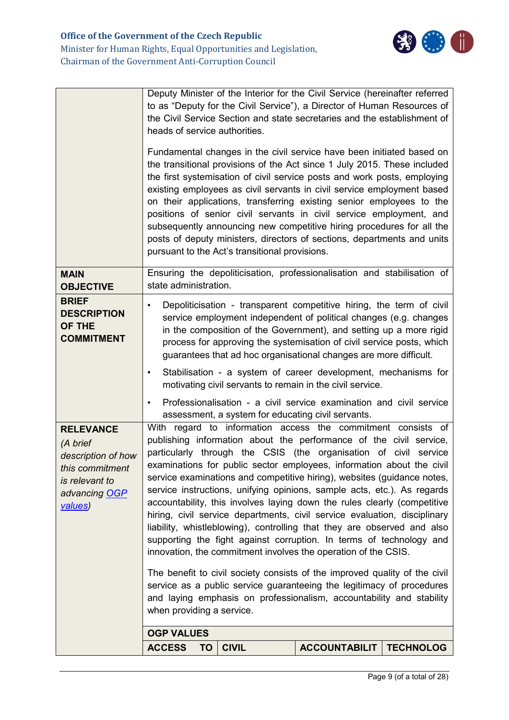|                                                                                                                     | to as "Deputy for the Civil Service"), a Director of Human Resources of<br>the Civil Service Section and state secretaries and the establishment of<br>heads of service authorities.                                                                                                                                                                                                                                                                                                                                                                                                                                                                                                                                                                                                                                                                                                                                                                                                                                                              |  |  |  |
|---------------------------------------------------------------------------------------------------------------------|---------------------------------------------------------------------------------------------------------------------------------------------------------------------------------------------------------------------------------------------------------------------------------------------------------------------------------------------------------------------------------------------------------------------------------------------------------------------------------------------------------------------------------------------------------------------------------------------------------------------------------------------------------------------------------------------------------------------------------------------------------------------------------------------------------------------------------------------------------------------------------------------------------------------------------------------------------------------------------------------------------------------------------------------------|--|--|--|
|                                                                                                                     | Fundamental changes in the civil service have been initiated based on<br>the transitional provisions of the Act since 1 July 2015. These included<br>the first systemisation of civil service posts and work posts, employing<br>existing employees as civil servants in civil service employment based<br>on their applications, transferring existing senior employees to the<br>positions of senior civil servants in civil service employment, and<br>subsequently announcing new competitive hiring procedures for all the<br>posts of deputy ministers, directors of sections, departments and units<br>pursuant to the Act's transitional provisions.                                                                                                                                                                                                                                                                                                                                                                                      |  |  |  |
| <b>MAIN</b><br><b>OBJECTIVE</b>                                                                                     | Ensuring the depoliticisation, professionalisation and stabilisation of<br>state administration.                                                                                                                                                                                                                                                                                                                                                                                                                                                                                                                                                                                                                                                                                                                                                                                                                                                                                                                                                  |  |  |  |
| <b>BRIEF</b><br><b>DESCRIPTION</b><br>OF THE<br><b>COMMITMENT</b>                                                   | Depoliticisation - transparent competitive hiring, the term of civil<br>service employment independent of political changes (e.g. changes<br>in the composition of the Government), and setting up a more rigid<br>process for approving the systemisation of civil service posts, which<br>guarantees that ad hoc organisational changes are more difficult.                                                                                                                                                                                                                                                                                                                                                                                                                                                                                                                                                                                                                                                                                     |  |  |  |
|                                                                                                                     | Stabilisation - a system of career development, mechanisms for<br>٠<br>motivating civil servants to remain in the civil service.                                                                                                                                                                                                                                                                                                                                                                                                                                                                                                                                                                                                                                                                                                                                                                                                                                                                                                                  |  |  |  |
|                                                                                                                     | Professionalisation - a civil service examination and civil service<br>$\bullet$<br>assessment, a system for educating civil servants.                                                                                                                                                                                                                                                                                                                                                                                                                                                                                                                                                                                                                                                                                                                                                                                                                                                                                                            |  |  |  |
| <b>RELEVANCE</b><br>(A brief<br>description of how<br>this commitment<br>is relevant to<br>advancing OGP<br>values) | With regard to information access the commitment consists of<br>publishing information about the performance of the civil service,<br>particularly through the CSIS (the organisation of civil service<br>examinations for public sector employees, information about the civil<br>service examinations and competitive hiring), websites (guidance notes,<br>service instructions, unifying opinions, sample acts, etc.). As regards<br>accountability, this involves laying down the rules clearly (competitive<br>hiring, civil service departments, civil service evaluation, disciplinary<br>liability, whistleblowing), controlling that they are observed and also<br>supporting the fight against corruption. In terms of technology and<br>innovation, the commitment involves the operation of the CSIS.<br>The benefit to civil society consists of the improved quality of the civil<br>service as a public service guaranteeing the legitimacy of procedures<br>and laying emphasis on professionalism, accountability and stability |  |  |  |
|                                                                                                                     | when providing a service.                                                                                                                                                                                                                                                                                                                                                                                                                                                                                                                                                                                                                                                                                                                                                                                                                                                                                                                                                                                                                         |  |  |  |
|                                                                                                                     | <b>OGP VALUES</b><br><b>ACCESS</b><br><b>CIVIL</b><br><b>ACCOUNTABILIT</b><br><b>TECHNOLOG</b><br><b>TO</b>                                                                                                                                                                                                                                                                                                                                                                                                                                                                                                                                                                                                                                                                                                                                                                                                                                                                                                                                       |  |  |  |
|                                                                                                                     |                                                                                                                                                                                                                                                                                                                                                                                                                                                                                                                                                                                                                                                                                                                                                                                                                                                                                                                                                                                                                                                   |  |  |  |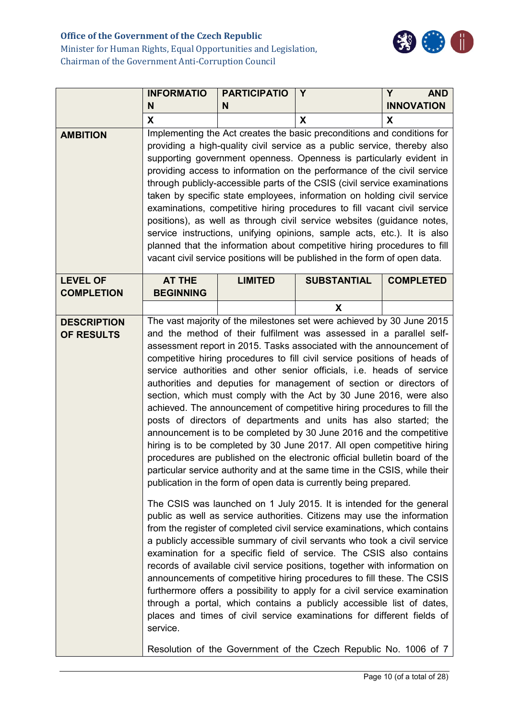# **Office of the Government of the Czech Republic**



Minister for Human Rights, Equal Opportunities and Legislation, Chairman of the Government Anti-Corruption Council

|                                      | <b>INFORMATIO</b><br>N                                                                                                                                                                                                                                                                                                                                                                                                                                                                                                                                                                                                                                                                                                                                                                                                                                                                                                                                                                                                                                                                                                                                                                                                                                                                                                                                                                                                                                                                                                                                                                                                                                                                                                                                                                                                                         | <b>PARTICIPATIO</b><br>N | Y                  | Y<br><b>AND</b><br><b>INNOVATION</b> |
|--------------------------------------|------------------------------------------------------------------------------------------------------------------------------------------------------------------------------------------------------------------------------------------------------------------------------------------------------------------------------------------------------------------------------------------------------------------------------------------------------------------------------------------------------------------------------------------------------------------------------------------------------------------------------------------------------------------------------------------------------------------------------------------------------------------------------------------------------------------------------------------------------------------------------------------------------------------------------------------------------------------------------------------------------------------------------------------------------------------------------------------------------------------------------------------------------------------------------------------------------------------------------------------------------------------------------------------------------------------------------------------------------------------------------------------------------------------------------------------------------------------------------------------------------------------------------------------------------------------------------------------------------------------------------------------------------------------------------------------------------------------------------------------------------------------------------------------------------------------------------------------------|--------------------------|--------------------|--------------------------------------|
|                                      | X                                                                                                                                                                                                                                                                                                                                                                                                                                                                                                                                                                                                                                                                                                                                                                                                                                                                                                                                                                                                                                                                                                                                                                                                                                                                                                                                                                                                                                                                                                                                                                                                                                                                                                                                                                                                                                              |                          | X                  | X                                    |
| <b>AMBITION</b>                      | Implementing the Act creates the basic preconditions and conditions for<br>providing a high-quality civil service as a public service, thereby also<br>supporting government openness. Openness is particularly evident in<br>providing access to information on the performance of the civil service<br>through publicly-accessible parts of the CSIS (civil service examinations<br>taken by specific state employees, information on holding civil service<br>examinations, competitive hiring procedures to fill vacant civil service<br>positions), as well as through civil service websites (guidance notes,<br>service instructions, unifying opinions, sample acts, etc.). It is also<br>planned that the information about competitive hiring procedures to fill<br>vacant civil service positions will be published in the form of open data.                                                                                                                                                                                                                                                                                                                                                                                                                                                                                                                                                                                                                                                                                                                                                                                                                                                                                                                                                                                       |                          |                    |                                      |
| <b>LEVEL OF</b><br><b>COMPLETION</b> | <b>AT THE</b><br><b>BEGINNING</b>                                                                                                                                                                                                                                                                                                                                                                                                                                                                                                                                                                                                                                                                                                                                                                                                                                                                                                                                                                                                                                                                                                                                                                                                                                                                                                                                                                                                                                                                                                                                                                                                                                                                                                                                                                                                              | <b>LIMITED</b>           | <b>SUBSTANTIAL</b> | <b>COMPLETED</b>                     |
|                                      |                                                                                                                                                                                                                                                                                                                                                                                                                                                                                                                                                                                                                                                                                                                                                                                                                                                                                                                                                                                                                                                                                                                                                                                                                                                                                                                                                                                                                                                                                                                                                                                                                                                                                                                                                                                                                                                |                          | X                  |                                      |
| <b>DESCRIPTION</b><br>OF RESULTS     | The vast majority of the milestones set were achieved by 30 June 2015<br>and the method of their fulfilment was assessed in a parallel self-<br>assessment report in 2015. Tasks associated with the announcement of<br>competitive hiring procedures to fill civil service positions of heads of<br>service authorities and other senior officials, i.e. heads of service<br>authorities and deputies for management of section or directors of<br>section, which must comply with the Act by 30 June 2016, were also<br>achieved. The announcement of competitive hiring procedures to fill the<br>posts of directors of departments and units has also started; the<br>announcement is to be completed by 30 June 2016 and the competitive<br>hiring is to be completed by 30 June 2017. All open competitive hiring<br>procedures are published on the electronic official bulletin board of the<br>particular service authority and at the same time in the CSIS, while their<br>publication in the form of open data is currently being prepared.<br>The CSIS was launched on 1 July 2015. It is intended for the general<br>public as well as service authorities. Citizens may use the information<br>from the register of completed civil service examinations, which contains<br>a publicly accessible summary of civil servants who took a civil service<br>examination for a specific field of service. The CSIS also contains<br>records of available civil service positions, together with information on<br>announcements of competitive hiring procedures to fill these. The CSIS<br>furthermore offers a possibility to apply for a civil service examination<br>through a portal, which contains a publicly accessible list of dates,<br>places and times of civil service examinations for different fields of<br>service. |                          |                    |                                      |
|                                      |                                                                                                                                                                                                                                                                                                                                                                                                                                                                                                                                                                                                                                                                                                                                                                                                                                                                                                                                                                                                                                                                                                                                                                                                                                                                                                                                                                                                                                                                                                                                                                                                                                                                                                                                                                                                                                                |                          |                    |                                      |
|                                      | Resolution of the Government of the Czech Republic No. 1006 of 7                                                                                                                                                                                                                                                                                                                                                                                                                                                                                                                                                                                                                                                                                                                                                                                                                                                                                                                                                                                                                                                                                                                                                                                                                                                                                                                                                                                                                                                                                                                                                                                                                                                                                                                                                                               |                          |                    |                                      |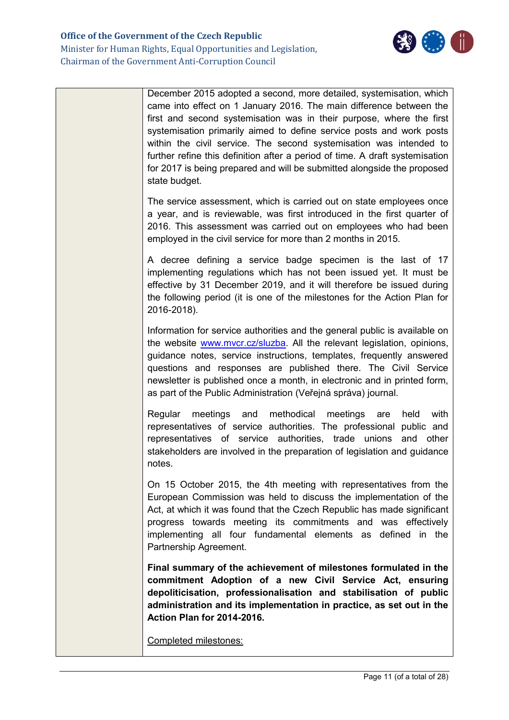

| December 2015 adopted a second, more detailed, systemisation, which<br>came into effect on 1 January 2016. The main difference between the<br>first and second systemisation was in their purpose, where the first<br>systemisation primarily aimed to define service posts and work posts<br>within the civil service. The second systemisation was intended to<br>further refine this definition after a period of time. A draft systemisation<br>for 2017 is being prepared and will be submitted alongside the proposed<br>state budget. |
|----------------------------------------------------------------------------------------------------------------------------------------------------------------------------------------------------------------------------------------------------------------------------------------------------------------------------------------------------------------------------------------------------------------------------------------------------------------------------------------------------------------------------------------------|
| The service assessment, which is carried out on state employees once<br>a year, and is reviewable, was first introduced in the first quarter of<br>2016. This assessment was carried out on employees who had been<br>employed in the civil service for more than 2 months in 2015.                                                                                                                                                                                                                                                          |
| A decree defining a service badge specimen is the last of 17<br>implementing regulations which has not been issued yet. It must be<br>effective by 31 December 2019, and it will therefore be issued during<br>the following period (it is one of the milestones for the Action Plan for<br>2016-2018).                                                                                                                                                                                                                                      |
| Information for service authorities and the general public is available on<br>the website www.mvcr.cz/sluzba. All the relevant legislation, opinions,<br>guidance notes, service instructions, templates, frequently answered<br>questions and responses are published there. The Civil Service<br>newsletter is published once a month, in electronic and in printed form,<br>as part of the Public Administration (Veřejná správa) journal.                                                                                                |
| methodical<br>Regular<br>meetings<br>meetings<br>with<br>and<br>are<br>held<br>representatives of service authorities. The professional public and<br>representatives of service authorities, trade unions<br>and<br>other<br>stakeholders are involved in the preparation of legislation and guidance<br>notes.                                                                                                                                                                                                                             |
| On 15 October 2015, the 4th meeting with representatives from the<br>European Commission was held to discuss the implementation of the<br>Act, at which it was found that the Czech Republic has made significant<br>progress towards meeting its commitments and was effectively<br>implementing all four fundamental elements as defined in the<br>Partnership Agreement.                                                                                                                                                                  |
| Final summary of the achievement of milestones formulated in the<br>commitment Adoption of a new Civil Service Act, ensuring<br>depoliticisation, professionalisation and stabilisation of public<br>administration and its implementation in practice, as set out in the<br>Action Plan for 2014-2016.                                                                                                                                                                                                                                      |
| Completed milestones:                                                                                                                                                                                                                                                                                                                                                                                                                                                                                                                        |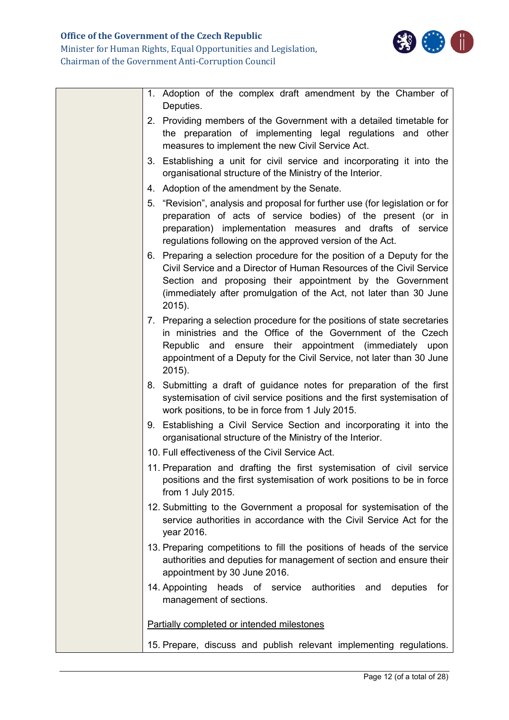

| 1. Adoption of the complex draft amendment by the Chamber of                                                                                                                                                                                                                                    |
|-------------------------------------------------------------------------------------------------------------------------------------------------------------------------------------------------------------------------------------------------------------------------------------------------|
| Deputies.                                                                                                                                                                                                                                                                                       |
| 2. Providing members of the Government with a detailed timetable for<br>the preparation of implementing legal regulations and other<br>measures to implement the new Civil Service Act.                                                                                                         |
| 3. Establishing a unit for civil service and incorporating it into the<br>organisational structure of the Ministry of the Interior.                                                                                                                                                             |
| 4. Adoption of the amendment by the Senate.                                                                                                                                                                                                                                                     |
| 5. "Revision", analysis and proposal for further use (for legislation or for<br>preparation of acts of service bodies) of the present (or in<br>preparation) implementation measures and drafts of service<br>regulations following on the approved version of the Act.                         |
| 6. Preparing a selection procedure for the position of a Deputy for the<br>Civil Service and a Director of Human Resources of the Civil Service<br>Section and proposing their appointment by the Government<br>(immediately after promulgation of the Act, not later than 30 June<br>$2015$ ). |
| 7. Preparing a selection procedure for the positions of state secretaries<br>in ministries and the Office of the Government of the Czech<br>Republic and ensure their appointment (immediately upon<br>appointment of a Deputy for the Civil Service, not later than 30 June<br>$2015$ ).       |
| 8. Submitting a draft of guidance notes for preparation of the first<br>systemisation of civil service positions and the first systemisation of<br>work positions, to be in force from 1 July 2015.                                                                                             |
| 9. Establishing a Civil Service Section and incorporating it into the<br>organisational structure of the Ministry of the Interior.                                                                                                                                                              |
| 10. Full effectiveness of the Civil Service Act.                                                                                                                                                                                                                                                |
| 11. Preparation and drafting the first systemisation of civil service<br>positions and the first systemisation of work positions to be in force<br>from 1 July 2015.                                                                                                                            |
| 12. Submitting to the Government a proposal for systemisation of the<br>service authorities in accordance with the Civil Service Act for the<br>year 2016.                                                                                                                                      |
| 13. Preparing competitions to fill the positions of heads of the service<br>authorities and deputies for management of section and ensure their<br>appointment by 30 June 2016.                                                                                                                 |
| 14. Appointing<br>heads of service authorities and<br>deputies<br>for<br>management of sections.                                                                                                                                                                                                |
| Partially completed or intended milestones                                                                                                                                                                                                                                                      |
| 15. Prepare, discuss and publish relevant implementing regulations.                                                                                                                                                                                                                             |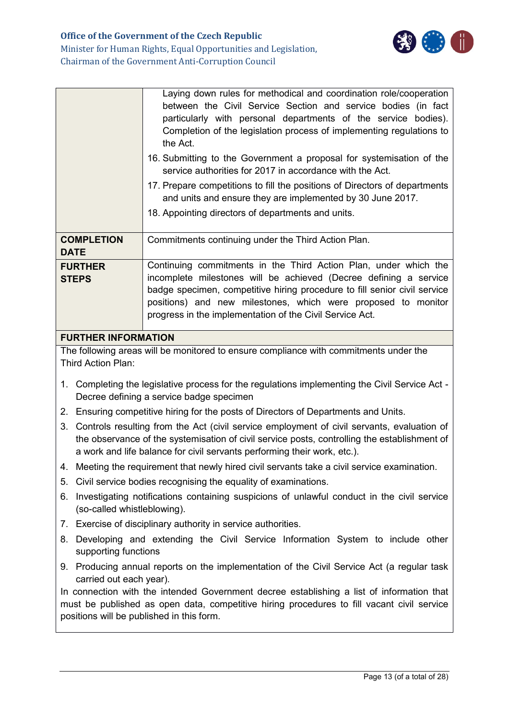

|                                |                                                                                                                                                                                                                                                                        | Laying down rules for methodical and coordination role/cooperation<br>between the Civil Service Section and service bodies (in fact<br>particularly with personal departments of the service bodies).<br>Completion of the legislation process of implementing regulations to<br>the Act.<br>16. Submitting to the Government a proposal for systemisation of the<br>service authorities for 2017 in accordance with the Act.<br>17. Prepare competitions to fill the positions of Directors of departments<br>and units and ensure they are implemented by 30 June 2017.<br>18. Appointing directors of departments and units. |  |  |  |  |
|--------------------------------|------------------------------------------------------------------------------------------------------------------------------------------------------------------------------------------------------------------------------------------------------------------------|---------------------------------------------------------------------------------------------------------------------------------------------------------------------------------------------------------------------------------------------------------------------------------------------------------------------------------------------------------------------------------------------------------------------------------------------------------------------------------------------------------------------------------------------------------------------------------------------------------------------------------|--|--|--|--|
|                                | <b>COMPLETION</b><br><b>DATE</b>                                                                                                                                                                                                                                       | Commitments continuing under the Third Action Plan.                                                                                                                                                                                                                                                                                                                                                                                                                                                                                                                                                                             |  |  |  |  |
| <b>FURTHER</b><br><b>STEPS</b> |                                                                                                                                                                                                                                                                        | Continuing commitments in the Third Action Plan, under which the<br>incomplete milestones will be achieved (Decree defining a service<br>badge specimen, competitive hiring procedure to fill senior civil service<br>positions) and new milestones, which were proposed to monitor<br>progress in the implementation of the Civil Service Act.                                                                                                                                                                                                                                                                                 |  |  |  |  |
| <b>FURTHER INFORMATION</b>     |                                                                                                                                                                                                                                                                        |                                                                                                                                                                                                                                                                                                                                                                                                                                                                                                                                                                                                                                 |  |  |  |  |
| Third Action Plan:             |                                                                                                                                                                                                                                                                        | The following areas will be monitored to ensure compliance with commitments under the                                                                                                                                                                                                                                                                                                                                                                                                                                                                                                                                           |  |  |  |  |
|                                | 1. Completing the legislative process for the regulations implementing the Civil Service Act -<br>Decree defining a service badge specimen                                                                                                                             |                                                                                                                                                                                                                                                                                                                                                                                                                                                                                                                                                                                                                                 |  |  |  |  |
|                                | 2. Ensuring competitive hiring for the posts of Directors of Departments and Units.                                                                                                                                                                                    |                                                                                                                                                                                                                                                                                                                                                                                                                                                                                                                                                                                                                                 |  |  |  |  |
| 3.                             | Controls resulting from the Act (civil service employment of civil servants, evaluation of<br>the observance of the systemisation of civil service posts, controlling the establishment of<br>a work and life balance for civil servants performing their work, etc.). |                                                                                                                                                                                                                                                                                                                                                                                                                                                                                                                                                                                                                                 |  |  |  |  |
|                                | 4. Meeting the requirement that newly hired civil servants take a civil service examination.                                                                                                                                                                           |                                                                                                                                                                                                                                                                                                                                                                                                                                                                                                                                                                                                                                 |  |  |  |  |
|                                | 5. Civil service bodies recognising the equality of examinations.                                                                                                                                                                                                      |                                                                                                                                                                                                                                                                                                                                                                                                                                                                                                                                                                                                                                 |  |  |  |  |
| 6.                             | Investigating notifications containing suspicions of unlawful conduct in the civil service<br>(so-called whistleblowing).                                                                                                                                              |                                                                                                                                                                                                                                                                                                                                                                                                                                                                                                                                                                                                                                 |  |  |  |  |
|                                |                                                                                                                                                                                                                                                                        | 7. Exercise of disciplinary authority in service authorities.                                                                                                                                                                                                                                                                                                                                                                                                                                                                                                                                                                   |  |  |  |  |
|                                | 8. Developing and extending the Civil Service Information System to include other<br>supporting functions                                                                                                                                                              |                                                                                                                                                                                                                                                                                                                                                                                                                                                                                                                                                                                                                                 |  |  |  |  |

9. Producing annual reports on the implementation of the Civil Service Act (a regular task carried out each year).

In connection with the intended Government decree establishing a list of information that must be published as open data, competitive hiring procedures to fill vacant civil service positions will be published in this form.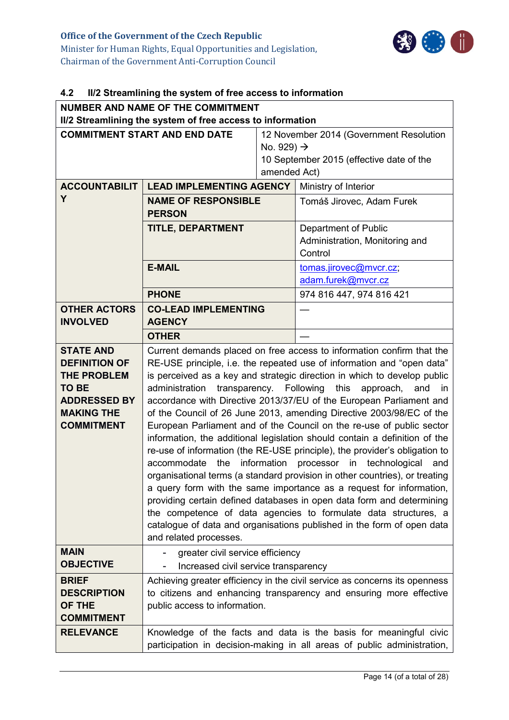

## <span id="page-13-0"></span>**4.2 II/2 Streamlining the system of free access to information**

| <b>NUMBER AND NAME OF THE COMMITMENT</b><br>II/2 Streamlining the system of free access to information                                          |                                                                                                                                                                                                                                                                                                                                                                                                                                                                                                                                                                                                                                                                                                                                                                                                                                                                                                                                                                                                                                                                                       |                        |                                                                                    |  |
|-------------------------------------------------------------------------------------------------------------------------------------------------|---------------------------------------------------------------------------------------------------------------------------------------------------------------------------------------------------------------------------------------------------------------------------------------------------------------------------------------------------------------------------------------------------------------------------------------------------------------------------------------------------------------------------------------------------------------------------------------------------------------------------------------------------------------------------------------------------------------------------------------------------------------------------------------------------------------------------------------------------------------------------------------------------------------------------------------------------------------------------------------------------------------------------------------------------------------------------------------|------------------------|------------------------------------------------------------------------------------|--|
| <b>COMMITMENT START AND END DATE</b>                                                                                                            |                                                                                                                                                                                                                                                                                                                                                                                                                                                                                                                                                                                                                                                                                                                                                                                                                                                                                                                                                                                                                                                                                       |                        | 12 November 2014 (Government Resolution                                            |  |
|                                                                                                                                                 |                                                                                                                                                                                                                                                                                                                                                                                                                                                                                                                                                                                                                                                                                                                                                                                                                                                                                                                                                                                                                                                                                       | No. 929) $\rightarrow$ |                                                                                    |  |
|                                                                                                                                                 |                                                                                                                                                                                                                                                                                                                                                                                                                                                                                                                                                                                                                                                                                                                                                                                                                                                                                                                                                                                                                                                                                       |                        | 10 September 2015 (effective date of the                                           |  |
|                                                                                                                                                 |                                                                                                                                                                                                                                                                                                                                                                                                                                                                                                                                                                                                                                                                                                                                                                                                                                                                                                                                                                                                                                                                                       | amended Act)           |                                                                                    |  |
| <b>ACCOUNTABILIT</b><br>Y                                                                                                                       | <b>LEAD IMPLEMENTING AGENCY</b>                                                                                                                                                                                                                                                                                                                                                                                                                                                                                                                                                                                                                                                                                                                                                                                                                                                                                                                                                                                                                                                       |                        | Ministry of Interior                                                               |  |
|                                                                                                                                                 | <b>NAME OF RESPONSIBLE</b><br><b>PERSON</b>                                                                                                                                                                                                                                                                                                                                                                                                                                                                                                                                                                                                                                                                                                                                                                                                                                                                                                                                                                                                                                           |                        | Tomáš Jirovec, Adam Furek                                                          |  |
|                                                                                                                                                 | <b>TITLE, DEPARTMENT</b>                                                                                                                                                                                                                                                                                                                                                                                                                                                                                                                                                                                                                                                                                                                                                                                                                                                                                                                                                                                                                                                              |                        | Department of Public<br>Administration, Monitoring and<br>Control                  |  |
|                                                                                                                                                 | <b>E-MAIL</b>                                                                                                                                                                                                                                                                                                                                                                                                                                                                                                                                                                                                                                                                                                                                                                                                                                                                                                                                                                                                                                                                         |                        | tomas.jirovec@mvcr.cz;<br>adam.furek@mvcr.cz                                       |  |
|                                                                                                                                                 | <b>PHONE</b>                                                                                                                                                                                                                                                                                                                                                                                                                                                                                                                                                                                                                                                                                                                                                                                                                                                                                                                                                                                                                                                                          |                        | 974 816 447, 974 816 421                                                           |  |
| <b>OTHER ACTORS</b><br><b>INVOLVED</b>                                                                                                          | <b>CO-LEAD IMPLEMENTING</b><br><b>AGENCY</b>                                                                                                                                                                                                                                                                                                                                                                                                                                                                                                                                                                                                                                                                                                                                                                                                                                                                                                                                                                                                                                          |                        |                                                                                    |  |
|                                                                                                                                                 | <b>OTHER</b>                                                                                                                                                                                                                                                                                                                                                                                                                                                                                                                                                                                                                                                                                                                                                                                                                                                                                                                                                                                                                                                                          |                        |                                                                                    |  |
| <b>STATE AND</b><br><b>DEFINITION OF</b><br><b>THE PROBLEM</b><br><b>TO BE</b><br><b>ADDRESSED BY</b><br><b>MAKING THE</b><br><b>COMMITMENT</b> | RE-USE principle, i.e. the repeated use of information and "open data"<br>is perceived as a key and strategic direction in which to develop public<br>administration<br>transparency. Following<br>this<br>approach,<br>and<br>accordance with Directive 2013/37/EU of the European Parliament and<br>of the Council of 26 June 2013, amending Directive 2003/98/EC of the<br>European Parliament and of the Council on the re-use of public sector<br>information, the additional legislation should contain a definition of the<br>re-use of information (the RE-USE principle), the provider's obligation to<br>the<br>information processor in technological<br>accommodate<br>organisational terms (a standard provision in other countries), or treating<br>a query form with the same importance as a request for information,<br>providing certain defined databases in open data form and determining<br>the competence of data agencies to formulate data structures, a<br>catalogue of data and organisations published in the form of open data<br>and related processes. |                        | Current demands placed on free access to information confirm that the<br>in<br>and |  |
| <b>MAIN</b><br><b>OBJECTIVE</b>                                                                                                                 | greater civil service efficiency<br>Increased civil service transparency                                                                                                                                                                                                                                                                                                                                                                                                                                                                                                                                                                                                                                                                                                                                                                                                                                                                                                                                                                                                              |                        |                                                                                    |  |
| <b>BRIEF</b><br><b>DESCRIPTION</b><br>OF THE<br><b>COMMITMENT</b>                                                                               | Achieving greater efficiency in the civil service as concerns its openness<br>to citizens and enhancing transparency and ensuring more effective<br>public access to information.                                                                                                                                                                                                                                                                                                                                                                                                                                                                                                                                                                                                                                                                                                                                                                                                                                                                                                     |                        |                                                                                    |  |
| <b>RELEVANCE</b>                                                                                                                                | Knowledge of the facts and data is the basis for meaningful civic<br>participation in decision-making in all areas of public administration,                                                                                                                                                                                                                                                                                                                                                                                                                                                                                                                                                                                                                                                                                                                                                                                                                                                                                                                                          |                        |                                                                                    |  |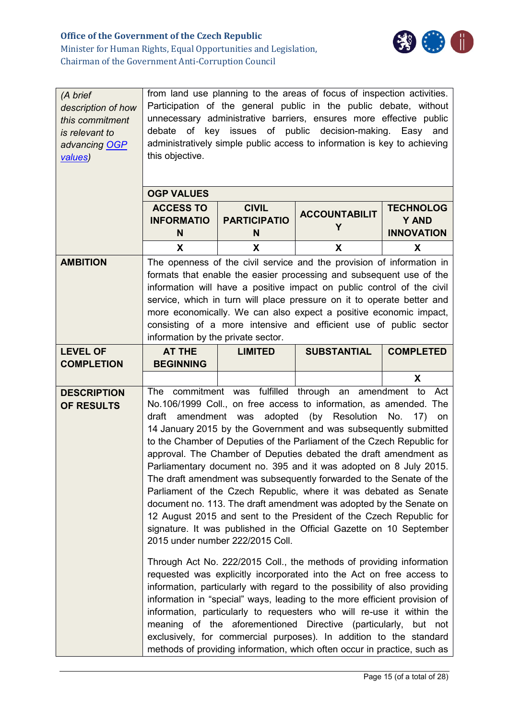

| (A brief<br>description of how<br>this commitment<br>is relevant to<br>advancing OGP<br>values) | from land use planning to the areas of focus of inspection activities.<br>Participation of the general public in the public debate, without<br>unnecessary administrative barriers, ensures more effective public<br>key issues of public decision-making. Easy and<br>of<br>debate<br>administratively simple public access to information is key to achieving<br>this objective.                                                                                                                                                                                                                                                                                                                                                                                                                                                                                                                                                                                                                                                                                                                                                                         |                                     |                                                                                                                                        |                                  |
|-------------------------------------------------------------------------------------------------|------------------------------------------------------------------------------------------------------------------------------------------------------------------------------------------------------------------------------------------------------------------------------------------------------------------------------------------------------------------------------------------------------------------------------------------------------------------------------------------------------------------------------------------------------------------------------------------------------------------------------------------------------------------------------------------------------------------------------------------------------------------------------------------------------------------------------------------------------------------------------------------------------------------------------------------------------------------------------------------------------------------------------------------------------------------------------------------------------------------------------------------------------------|-------------------------------------|----------------------------------------------------------------------------------------------------------------------------------------|----------------------------------|
|                                                                                                 | <b>OGP VALUES</b>                                                                                                                                                                                                                                                                                                                                                                                                                                                                                                                                                                                                                                                                                                                                                                                                                                                                                                                                                                                                                                                                                                                                          |                                     |                                                                                                                                        |                                  |
|                                                                                                 | <b>ACCESS TO</b><br><b>INFORMATIO</b>                                                                                                                                                                                                                                                                                                                                                                                                                                                                                                                                                                                                                                                                                                                                                                                                                                                                                                                                                                                                                                                                                                                      | <b>CIVIL</b><br><b>PARTICIPATIO</b> | <b>ACCOUNTABILIT</b>                                                                                                                   | <b>TECHNOLOG</b><br><b>Y AND</b> |
|                                                                                                 | N                                                                                                                                                                                                                                                                                                                                                                                                                                                                                                                                                                                                                                                                                                                                                                                                                                                                                                                                                                                                                                                                                                                                                          | N                                   | Y                                                                                                                                      | <b>INNOVATION</b>                |
|                                                                                                 | X                                                                                                                                                                                                                                                                                                                                                                                                                                                                                                                                                                                                                                                                                                                                                                                                                                                                                                                                                                                                                                                                                                                                                          | X                                   | X                                                                                                                                      | X                                |
| <b>AMBITION</b>                                                                                 |                                                                                                                                                                                                                                                                                                                                                                                                                                                                                                                                                                                                                                                                                                                                                                                                                                                                                                                                                                                                                                                                                                                                                            |                                     | The openness of the civil service and the provision of information in                                                                  |                                  |
|                                                                                                 |                                                                                                                                                                                                                                                                                                                                                                                                                                                                                                                                                                                                                                                                                                                                                                                                                                                                                                                                                                                                                                                                                                                                                            |                                     | formats that enable the easier processing and subsequent use of the                                                                    |                                  |
|                                                                                                 |                                                                                                                                                                                                                                                                                                                                                                                                                                                                                                                                                                                                                                                                                                                                                                                                                                                                                                                                                                                                                                                                                                                                                            |                                     | information will have a positive impact on public control of the civil                                                                 |                                  |
|                                                                                                 |                                                                                                                                                                                                                                                                                                                                                                                                                                                                                                                                                                                                                                                                                                                                                                                                                                                                                                                                                                                                                                                                                                                                                            |                                     | service, which in turn will place pressure on it to operate better and                                                                 |                                  |
|                                                                                                 |                                                                                                                                                                                                                                                                                                                                                                                                                                                                                                                                                                                                                                                                                                                                                                                                                                                                                                                                                                                                                                                                                                                                                            |                                     | more economically. We can also expect a positive economic impact,<br>consisting of a more intensive and efficient use of public sector |                                  |
|                                                                                                 | information by the private sector.                                                                                                                                                                                                                                                                                                                                                                                                                                                                                                                                                                                                                                                                                                                                                                                                                                                                                                                                                                                                                                                                                                                         |                                     |                                                                                                                                        |                                  |
| <b>LEVEL OF</b>                                                                                 | <b>AT THE</b>                                                                                                                                                                                                                                                                                                                                                                                                                                                                                                                                                                                                                                                                                                                                                                                                                                                                                                                                                                                                                                                                                                                                              | <b>LIMITED</b>                      | <b>SUBSTANTIAL</b>                                                                                                                     | <b>COMPLETED</b>                 |
| <b>COMPLETION</b>                                                                               | <b>BEGINNING</b>                                                                                                                                                                                                                                                                                                                                                                                                                                                                                                                                                                                                                                                                                                                                                                                                                                                                                                                                                                                                                                                                                                                                           |                                     |                                                                                                                                        |                                  |
|                                                                                                 |                                                                                                                                                                                                                                                                                                                                                                                                                                                                                                                                                                                                                                                                                                                                                                                                                                                                                                                                                                                                                                                                                                                                                            |                                     |                                                                                                                                        | X                                |
| <b>DESCRIPTION</b>                                                                              |                                                                                                                                                                                                                                                                                                                                                                                                                                                                                                                                                                                                                                                                                                                                                                                                                                                                                                                                                                                                                                                                                                                                                            |                                     | The commitment was fulfilled through an amendment to Act                                                                               |                                  |
| OF RESULTS                                                                                      | No.106/1999 Coll., on free access to information, as amended. The<br>amendment was<br>adopted<br>(by<br>Resolution<br>No.<br>draft<br>17)<br><b>on</b><br>14 January 2015 by the Government and was subsequently submitted<br>to the Chamber of Deputies of the Parliament of the Czech Republic for<br>approval. The Chamber of Deputies debated the draft amendment as<br>Parliamentary document no. 395 and it was adopted on 8 July 2015.<br>The draft amendment was subsequently forwarded to the Senate of the<br>Parliament of the Czech Republic, where it was debated as Senate<br>document no. 113. The draft amendment was adopted by the Senate on<br>12 August 2015 and sent to the President of the Czech Republic for<br>signature. It was published in the Official Gazette on 10 September<br>2015 under number 222/2015 Coll.<br>Through Act No. 222/2015 Coll., the methods of providing information<br>requested was explicitly incorporated into the Act on free access to<br>information, particularly with regard to the possibility of also providing<br>information in "special" ways, leading to the more efficient provision of |                                     |                                                                                                                                        |                                  |
|                                                                                                 |                                                                                                                                                                                                                                                                                                                                                                                                                                                                                                                                                                                                                                                                                                                                                                                                                                                                                                                                                                                                                                                                                                                                                            |                                     |                                                                                                                                        |                                  |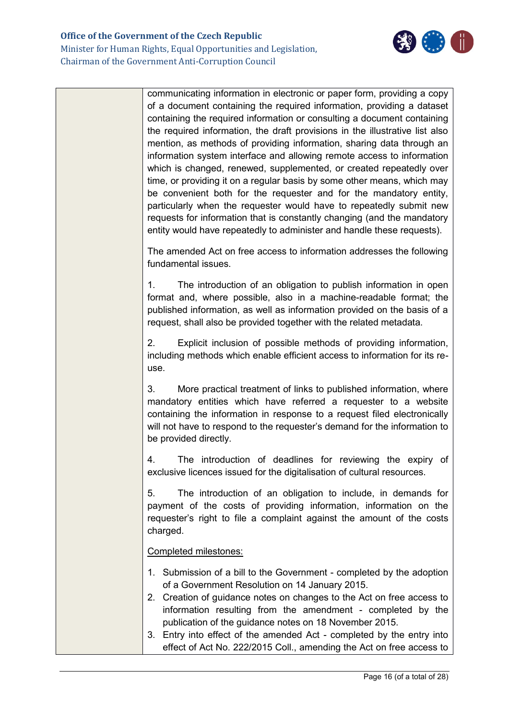

communicating information in electronic or paper form, providing a copy of a document containing the required information, providing a dataset containing the required information or consulting a document containing the required information, the draft provisions in the illustrative list also mention, as methods of providing information, sharing data through an information system interface and allowing remote access to information which is changed, renewed, supplemented, or created repeatedly over time, or providing it on a regular basis by some other means, which may be convenient both for the requester and for the mandatory entity, particularly when the requester would have to repeatedly submit new requests for information that is constantly changing (and the mandatory entity would have repeatedly to administer and handle these requests). The amended Act on free access to information addresses the following fundamental issues. 1. The introduction of an obligation to publish information in open format and, where possible, also in a machine-readable format; the published information, as well as information provided on the basis of a request, shall also be provided together with the related metadata. 2. Explicit inclusion of possible methods of providing information, including methods which enable efficient access to information for its reuse. 3. More practical treatment of links to published information, where mandatory entities which have referred a requester to a website containing the information in response to a request filed electronically will not have to respond to the requester's demand for the information to be provided directly. 4. The introduction of deadlines for reviewing the expiry of exclusive licences issued for the digitalisation of cultural resources. 5. The introduction of an obligation to include, in demands for payment of the costs of providing information, information on the requester's right to file a complaint against the amount of the costs charged. Completed milestones: 1. Submission of a bill to the Government - completed by the adoption of a Government Resolution on 14 January 2015. 2. Creation of guidance notes on changes to the Act on free access to information resulting from the amendment - completed by the publication of the guidance notes on 18 November 2015.

3. Entry into effect of the amended Act - completed by the entry into effect of Act No. 222/2015 Coll., amending the Act on free access to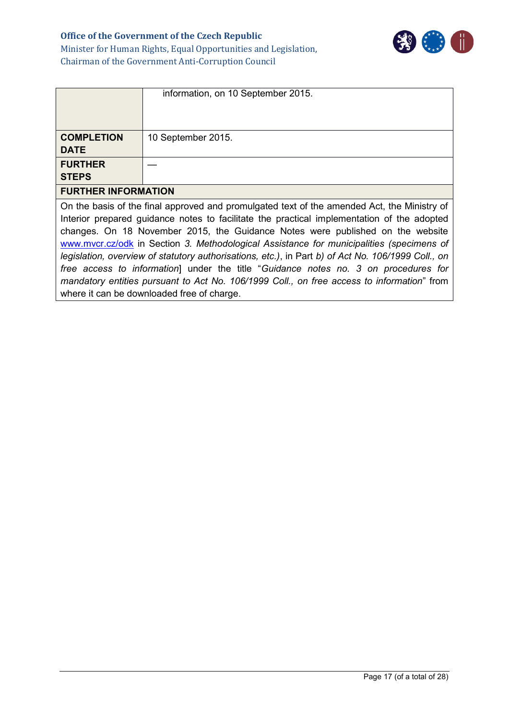### **Office of the Government of the Czech Republic** Minister for Human Rights, Equal Opportunities and Legislation, Chairman of the Government Anti-Corruption Council



| <b>Chairman of the Government Anti-Corruption Council</b> |
|-----------------------------------------------------------|
|                                                           |

|                                                                                                                                                                                                                                                                                                                                                                                                                                                                                                                                                                                                                                                                                                                  | information, on 10 September 2015. |  |
|------------------------------------------------------------------------------------------------------------------------------------------------------------------------------------------------------------------------------------------------------------------------------------------------------------------------------------------------------------------------------------------------------------------------------------------------------------------------------------------------------------------------------------------------------------------------------------------------------------------------------------------------------------------------------------------------------------------|------------------------------------|--|
| <b>COMPLETION</b><br><b>DATE</b>                                                                                                                                                                                                                                                                                                                                                                                                                                                                                                                                                                                                                                                                                 | 10 September 2015.                 |  |
| <b>FURTHER</b><br><b>STEPS</b>                                                                                                                                                                                                                                                                                                                                                                                                                                                                                                                                                                                                                                                                                   |                                    |  |
| <b>FURTHER INFORMATION</b>                                                                                                                                                                                                                                                                                                                                                                                                                                                                                                                                                                                                                                                                                       |                                    |  |
| On the basis of the final approved and promulgated text of the amended Act, the Ministry of<br>Interior prepared guidance notes to facilitate the practical implementation of the adopted<br>changes. On 18 November 2015, the Guidance Notes were published on the website<br>www.mvcr.cz/odk in Section 3. Methodological Assistance for municipalities (specimens of<br>legislation, overview of statutory authorisations, etc.), in Part b) of Act No. 106/1999 Coll., on<br>free access to information] under the title "Guidance notes no. 3 on procedures for<br>mandatory entities pursuant to Act No. 106/1999 Coll., on free access to information" from<br>where it can be downloaded free of charge. |                                    |  |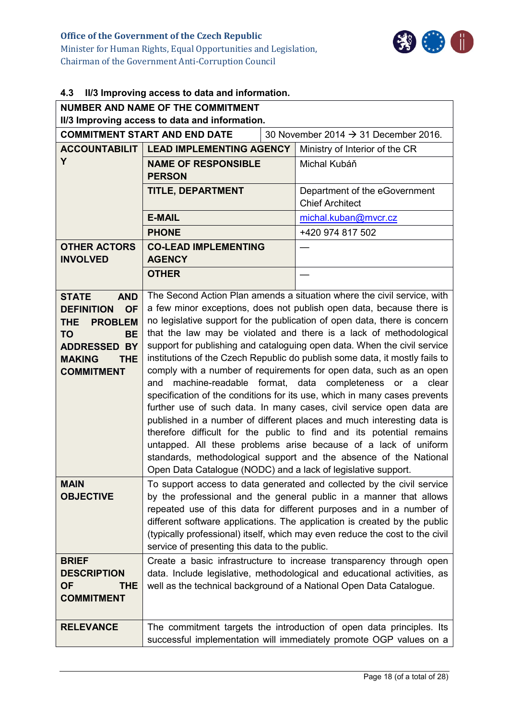

# <span id="page-17-0"></span>**4.3 II/3 Improving access to data and information.**

| <b>NUMBER AND NAME OF THE COMMITMENT</b><br>II/3 Improving access to data and information.                                                                                                  |                                                                                                                                                                                                                                                                                                                                                                                                                                                                                                                                                                                                                                                                                                                                                                                                                                                                                                                                                                                                                                                                                                                         |  |                                                         |  |
|---------------------------------------------------------------------------------------------------------------------------------------------------------------------------------------------|-------------------------------------------------------------------------------------------------------------------------------------------------------------------------------------------------------------------------------------------------------------------------------------------------------------------------------------------------------------------------------------------------------------------------------------------------------------------------------------------------------------------------------------------------------------------------------------------------------------------------------------------------------------------------------------------------------------------------------------------------------------------------------------------------------------------------------------------------------------------------------------------------------------------------------------------------------------------------------------------------------------------------------------------------------------------------------------------------------------------------|--|---------------------------------------------------------|--|
|                                                                                                                                                                                             | <b>COMMITMENT START AND END DATE</b>                                                                                                                                                                                                                                                                                                                                                                                                                                                                                                                                                                                                                                                                                                                                                                                                                                                                                                                                                                                                                                                                                    |  | 30 November 2014 $\rightarrow$ 31 December 2016.        |  |
|                                                                                                                                                                                             | <b>ACCOUNTABILIT   LEAD IMPLEMENTING AGENCY</b>                                                                                                                                                                                                                                                                                                                                                                                                                                                                                                                                                                                                                                                                                                                                                                                                                                                                                                                                                                                                                                                                         |  | Ministry of Interior of the CR                          |  |
| Y                                                                                                                                                                                           | <b>NAME OF RESPONSIBLE</b><br><b>PERSON</b>                                                                                                                                                                                                                                                                                                                                                                                                                                                                                                                                                                                                                                                                                                                                                                                                                                                                                                                                                                                                                                                                             |  | Michal Kubáň                                            |  |
|                                                                                                                                                                                             | TITLE, DEPARTMENT                                                                                                                                                                                                                                                                                                                                                                                                                                                                                                                                                                                                                                                                                                                                                                                                                                                                                                                                                                                                                                                                                                       |  | Department of the eGovernment<br><b>Chief Architect</b> |  |
|                                                                                                                                                                                             | <b>E-MAIL</b>                                                                                                                                                                                                                                                                                                                                                                                                                                                                                                                                                                                                                                                                                                                                                                                                                                                                                                                                                                                                                                                                                                           |  | michal.kuban@mvcr.cz                                    |  |
|                                                                                                                                                                                             | <b>PHONE</b>                                                                                                                                                                                                                                                                                                                                                                                                                                                                                                                                                                                                                                                                                                                                                                                                                                                                                                                                                                                                                                                                                                            |  | +420 974 817 502                                        |  |
| <b>OTHER ACTORS</b><br><b>INVOLVED</b>                                                                                                                                                      | <b>CO-LEAD IMPLEMENTING</b><br><b>AGENCY</b>                                                                                                                                                                                                                                                                                                                                                                                                                                                                                                                                                                                                                                                                                                                                                                                                                                                                                                                                                                                                                                                                            |  |                                                         |  |
|                                                                                                                                                                                             | <b>OTHER</b>                                                                                                                                                                                                                                                                                                                                                                                                                                                                                                                                                                                                                                                                                                                                                                                                                                                                                                                                                                                                                                                                                                            |  |                                                         |  |
| <b>STATE</b><br><b>AND</b><br><b>OF</b><br><b>DEFINITION</b><br>THE.<br><b>PROBLEM</b><br><b>BE</b><br><b>TO</b><br><b>ADDRESSED BY</b><br><b>MAKING</b><br><b>THE</b><br><b>COMMITMENT</b> | The Second Action Plan amends a situation where the civil service, with<br>a few minor exceptions, does not publish open data, because there is<br>no legislative support for the publication of open data, there is concern<br>that the law may be violated and there is a lack of methodological<br>support for publishing and cataloguing open data. When the civil service<br>institutions of the Czech Republic do publish some data, it mostly fails to<br>comply with a number of requirements for open data, such as an open<br>machine-readable format, data completeness or a<br>clear<br>and<br>specification of the conditions for its use, which in many cases prevents<br>further use of such data. In many cases, civil service open data are<br>published in a number of different places and much interesting data is<br>therefore difficult for the public to find and its potential remains<br>untapped. All these problems arise because of a lack of uniform<br>standards, methodological support and the absence of the National<br>Open Data Catalogue (NODC) and a lack of legislative support. |  |                                                         |  |
| <b>MAIN</b><br><b>OBJECTIVE</b>                                                                                                                                                             | To support access to data generated and collected by the civil service<br>by the professional and the general public in a manner that allows<br>repeated use of this data for different purposes and in a number of<br>different software applications. The application is created by the public<br>(typically professional) itself, which may even reduce the cost to the civil<br>service of presenting this data to the public.                                                                                                                                                                                                                                                                                                                                                                                                                                                                                                                                                                                                                                                                                      |  |                                                         |  |
| <b>BRIEF</b><br><b>DESCRIPTION</b><br><b>OF</b><br><b>THE</b><br><b>COMMITMENT</b>                                                                                                          | Create a basic infrastructure to increase transparency through open<br>data. Include legislative, methodological and educational activities, as<br>well as the technical background of a National Open Data Catalogue.                                                                                                                                                                                                                                                                                                                                                                                                                                                                                                                                                                                                                                                                                                                                                                                                                                                                                                  |  |                                                         |  |
| <b>RELEVANCE</b>                                                                                                                                                                            | The commitment targets the introduction of open data principles. Its<br>successful implementation will immediately promote OGP values on a                                                                                                                                                                                                                                                                                                                                                                                                                                                                                                                                                                                                                                                                                                                                                                                                                                                                                                                                                                              |  |                                                         |  |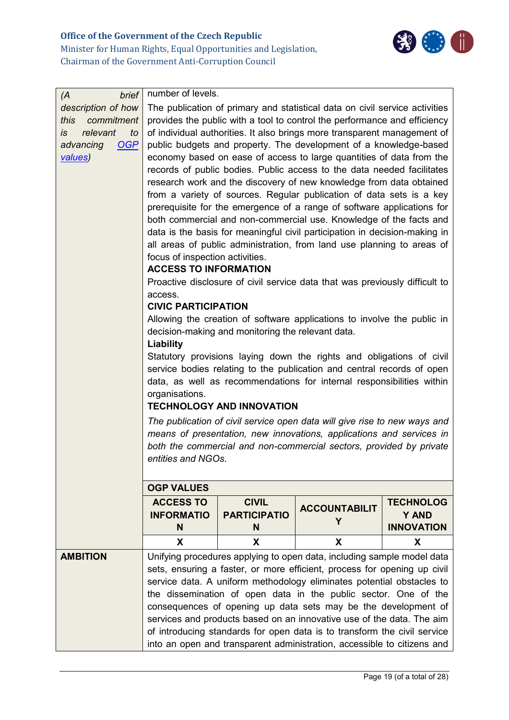

| brief<br>(A)                             | number of levels.                                                                                                                                        |                                                                                                                                   |                                                                        |                                   |  |
|------------------------------------------|----------------------------------------------------------------------------------------------------------------------------------------------------------|-----------------------------------------------------------------------------------------------------------------------------------|------------------------------------------------------------------------|-----------------------------------|--|
| description of how<br>this<br>commitment | The publication of primary and statistical data on civil service activities<br>provides the public with a tool to control the performance and efficiency |                                                                                                                                   |                                                                        |                                   |  |
| relevant<br>İS.<br>to                    | of individual authorities. It also brings more transparent management of                                                                                 |                                                                                                                                   |                                                                        |                                   |  |
| advancing<br><b>OGP</b>                  | public budgets and property. The development of a knowledge-based                                                                                        |                                                                                                                                   |                                                                        |                                   |  |
| values)                                  |                                                                                                                                                          |                                                                                                                                   | economy based on ease of access to large quantities of data from the   |                                   |  |
|                                          |                                                                                                                                                          |                                                                                                                                   | records of public bodies. Public access to the data needed facilitates |                                   |  |
|                                          | research work and the discovery of new knowledge from data obtained                                                                                      |                                                                                                                                   |                                                                        |                                   |  |
|                                          |                                                                                                                                                          |                                                                                                                                   | from a variety of sources. Regular publication of data sets is a key   |                                   |  |
|                                          |                                                                                                                                                          |                                                                                                                                   | prerequisite for the emergence of a range of software applications for |                                   |  |
|                                          | both commercial and non-commercial use. Knowledge of the facts and<br>data is the basis for meaningful civil participation in decision-making in         |                                                                                                                                   |                                                                        |                                   |  |
|                                          | all areas of public administration, from land use planning to areas of                                                                                   |                                                                                                                                   |                                                                        |                                   |  |
|                                          | focus of inspection activities.                                                                                                                          |                                                                                                                                   |                                                                        |                                   |  |
|                                          | <b>ACCESS TO INFORMATION</b>                                                                                                                             |                                                                                                                                   |                                                                        |                                   |  |
|                                          | Proactive disclosure of civil service data that was previously difficult to<br>access.                                                                   |                                                                                                                                   |                                                                        |                                   |  |
|                                          | <b>CIVIC PARTICIPATION</b>                                                                                                                               |                                                                                                                                   |                                                                        |                                   |  |
|                                          | Allowing the creation of software applications to involve the public in                                                                                  |                                                                                                                                   |                                                                        |                                   |  |
|                                          | decision-making and monitoring the relevant data.                                                                                                        |                                                                                                                                   |                                                                        |                                   |  |
|                                          | Liability                                                                                                                                                |                                                                                                                                   |                                                                        |                                   |  |
|                                          | Statutory provisions laying down the rights and obligations of civil<br>service bodies relating to the publication and central records of open           |                                                                                                                                   |                                                                        |                                   |  |
|                                          | data, as well as recommendations for internal responsibilities within                                                                                    |                                                                                                                                   |                                                                        |                                   |  |
|                                          | organisations.                                                                                                                                           |                                                                                                                                   |                                                                        |                                   |  |
|                                          | <b>TECHNOLOGY AND INNOVATION</b>                                                                                                                         |                                                                                                                                   |                                                                        |                                   |  |
|                                          | The publication of civil service open data will give rise to new ways and                                                                                |                                                                                                                                   |                                                                        |                                   |  |
|                                          | means of presentation, new innovations, applications and services in                                                                                     |                                                                                                                                   |                                                                        |                                   |  |
|                                          | both the commercial and non-commercial sectors, provided by private<br>entities and NGOs.                                                                |                                                                                                                                   |                                                                        |                                   |  |
|                                          |                                                                                                                                                          |                                                                                                                                   |                                                                        |                                   |  |
|                                          | <b>OGP VALUES</b>                                                                                                                                        |                                                                                                                                   |                                                                        |                                   |  |
|                                          | <b>ACCESS TO</b>                                                                                                                                         | <b>CIVIL</b>                                                                                                                      | <b>ACCOUNTABILIT</b>                                                   | <b>TECHNOLOG</b>                  |  |
|                                          | <b>INFORMATIO</b><br>N                                                                                                                                   | <b>PARTICIPATIO</b><br>N                                                                                                          | Y                                                                      | <b>Y AND</b><br><b>INNOVATION</b> |  |
|                                          | X                                                                                                                                                        | X                                                                                                                                 | X                                                                      | X                                 |  |
| <b>AMBITION</b>                          | Unifying procedures applying to open data, including sample model data                                                                                   |                                                                                                                                   |                                                                        |                                   |  |
|                                          | sets, ensuring a faster, or more efficient, process for opening up civil                                                                                 |                                                                                                                                   |                                                                        |                                   |  |
|                                          |                                                                                                                                                          |                                                                                                                                   | service data. A uniform methodology eliminates potential obstacles to  |                                   |  |
|                                          |                                                                                                                                                          | the dissemination of open data in the public sector. One of the<br>consequences of opening up data sets may be the development of |                                                                        |                                   |  |
|                                          | services and products based on an innovative use of the data. The aim                                                                                    |                                                                                                                                   |                                                                        |                                   |  |
|                                          | of introducing standards for open data is to transform the civil service                                                                                 |                                                                                                                                   |                                                                        |                                   |  |
|                                          | into an open and transparent administration, accessible to citizens and                                                                                  |                                                                                                                                   |                                                                        |                                   |  |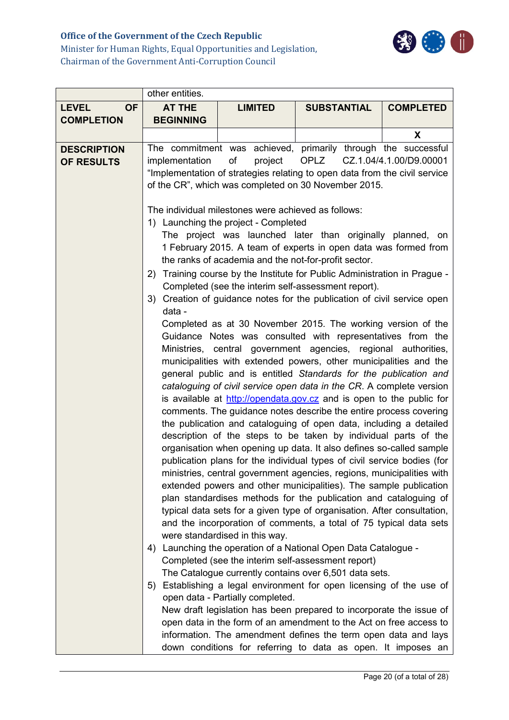# **Office of the Government of the Czech Republic**



Minister for Human Rights, Equal Opportunities and Legislation, Chairman of the Government Anti-Corruption Council

|                                  | other entities.                                                                                                                                                                                                                                                           |                                                                                                                                                                   |                                                                                                                                                                                                                                                                                                                                                                                                                                                                                                                                                                                                                                                                                                                                                                                                                                                                                                                                                                                                                                                                                                                                                                                                                                                                                                                                                                                                                                                                                                                                                                                                                                                                                                                                                                                                                                                                                                                                                                                                                                                                                                                                                                     |                  |
|----------------------------------|---------------------------------------------------------------------------------------------------------------------------------------------------------------------------------------------------------------------------------------------------------------------------|-------------------------------------------------------------------------------------------------------------------------------------------------------------------|---------------------------------------------------------------------------------------------------------------------------------------------------------------------------------------------------------------------------------------------------------------------------------------------------------------------------------------------------------------------------------------------------------------------------------------------------------------------------------------------------------------------------------------------------------------------------------------------------------------------------------------------------------------------------------------------------------------------------------------------------------------------------------------------------------------------------------------------------------------------------------------------------------------------------------------------------------------------------------------------------------------------------------------------------------------------------------------------------------------------------------------------------------------------------------------------------------------------------------------------------------------------------------------------------------------------------------------------------------------------------------------------------------------------------------------------------------------------------------------------------------------------------------------------------------------------------------------------------------------------------------------------------------------------------------------------------------------------------------------------------------------------------------------------------------------------------------------------------------------------------------------------------------------------------------------------------------------------------------------------------------------------------------------------------------------------------------------------------------------------------------------------------------------------|------------------|
| <b>LEVEL</b><br><b>OF</b>        | <b>AT THE</b>                                                                                                                                                                                                                                                             | <b>LIMITED</b>                                                                                                                                                    | <b>SUBSTANTIAL</b>                                                                                                                                                                                                                                                                                                                                                                                                                                                                                                                                                                                                                                                                                                                                                                                                                                                                                                                                                                                                                                                                                                                                                                                                                                                                                                                                                                                                                                                                                                                                                                                                                                                                                                                                                                                                                                                                                                                                                                                                                                                                                                                                                  | <b>COMPLETED</b> |
| <b>COMPLETION</b>                | <b>BEGINNING</b>                                                                                                                                                                                                                                                          |                                                                                                                                                                   |                                                                                                                                                                                                                                                                                                                                                                                                                                                                                                                                                                                                                                                                                                                                                                                                                                                                                                                                                                                                                                                                                                                                                                                                                                                                                                                                                                                                                                                                                                                                                                                                                                                                                                                                                                                                                                                                                                                                                                                                                                                                                                                                                                     |                  |
|                                  |                                                                                                                                                                                                                                                                           |                                                                                                                                                                   |                                                                                                                                                                                                                                                                                                                                                                                                                                                                                                                                                                                                                                                                                                                                                                                                                                                                                                                                                                                                                                                                                                                                                                                                                                                                                                                                                                                                                                                                                                                                                                                                                                                                                                                                                                                                                                                                                                                                                                                                                                                                                                                                                                     | X                |
| <b>DESCRIPTION</b><br>OF RESULTS | The commitment was achieved, primarily through the successful<br>OPLZ<br>CZ.1.04/4.1.00/D9.00001<br>implementation<br>of<br>project<br>"Implementation of strategies relating to open data from the civil service<br>of the CR", which was completed on 30 November 2015. |                                                                                                                                                                   |                                                                                                                                                                                                                                                                                                                                                                                                                                                                                                                                                                                                                                                                                                                                                                                                                                                                                                                                                                                                                                                                                                                                                                                                                                                                                                                                                                                                                                                                                                                                                                                                                                                                                                                                                                                                                                                                                                                                                                                                                                                                                                                                                                     |                  |
|                                  | 2)<br>data -<br>4)                                                                                                                                                                                                                                                        | The individual milestones were achieved as follows:<br>1) Launching the project - Completed<br>were standardised in this way.<br>open data - Partially completed. | The project was launched later than originally planned, on<br>1 February 2015. A team of experts in open data was formed from<br>the ranks of academia and the not-for-profit sector.<br>Training course by the Institute for Public Administration in Prague -<br>Completed (see the interim self-assessment report).<br>3) Creation of guidance notes for the publication of civil service open<br>Completed as at 30 November 2015. The working version of the<br>Guidance Notes was consulted with representatives from the<br>Ministries, central government agencies, regional authorities,<br>municipalities with extended powers, other municipalities and the<br>general public and is entitled Standards for the publication and<br>cataloguing of civil service open data in the CR. A complete version<br>is available at http://opendata.gov.cz and is open to the public for<br>comments. The guidance notes describe the entire process covering<br>the publication and cataloguing of open data, including a detailed<br>description of the steps to be taken by individual parts of the<br>organisation when opening up data. It also defines so-called sample<br>publication plans for the individual types of civil service bodies (for<br>ministries, central government agencies, regions, municipalities with<br>extended powers and other municipalities). The sample publication<br>plan standardises methods for the publication and cataloguing of<br>typical data sets for a given type of organisation. After consultation,<br>and the incorporation of comments, a total of 75 typical data sets<br>Launching the operation of a National Open Data Catalogue -<br>Completed (see the interim self-assessment report)<br>The Catalogue currently contains over 6,501 data sets.<br>5) Establishing a legal environment for open licensing of the use of<br>New draft legislation has been prepared to incorporate the issue of<br>open data in the form of an amendment to the Act on free access to<br>information. The amendment defines the term open data and lays<br>down conditions for referring to data as open. It imposes an |                  |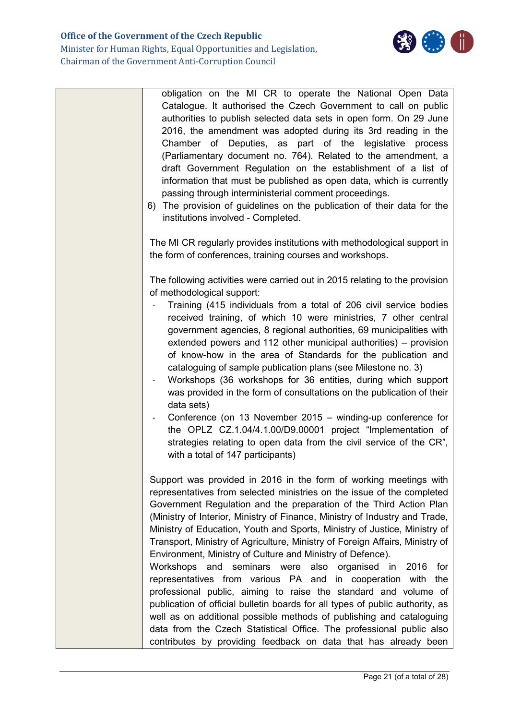

| obligation on the MI CR to operate the National Open Data<br>Catalogue. It authorised the Czech Government to call on public<br>authorities to publish selected data sets in open form. On 29 June<br>2016, the amendment was adopted during its 3rd reading in the<br>Chamber of Deputies, as part of the legislative process<br>(Parliamentary document no. 764). Related to the amendment, a<br>draft Government Regulation on the establishment of a list of<br>information that must be published as open data, which is currently<br>passing through interministerial comment proceedings.<br>6) The provision of guidelines on the publication of their data for the<br>institutions involved - Completed.                                                                                                                                                                                                                                                                                                                 |
|-----------------------------------------------------------------------------------------------------------------------------------------------------------------------------------------------------------------------------------------------------------------------------------------------------------------------------------------------------------------------------------------------------------------------------------------------------------------------------------------------------------------------------------------------------------------------------------------------------------------------------------------------------------------------------------------------------------------------------------------------------------------------------------------------------------------------------------------------------------------------------------------------------------------------------------------------------------------------------------------------------------------------------------|
| The MI CR regularly provides institutions with methodological support in<br>the form of conferences, training courses and workshops.                                                                                                                                                                                                                                                                                                                                                                                                                                                                                                                                                                                                                                                                                                                                                                                                                                                                                              |
| The following activities were carried out in 2015 relating to the provision<br>of methodological support:<br>Training (415 individuals from a total of 206 civil service bodies<br>received training, of which 10 were ministries, 7 other central<br>government agencies, 8 regional authorities, 69 municipalities with<br>extended powers and 112 other municipal authorities) - provision<br>of know-how in the area of Standards for the publication and<br>cataloguing of sample publication plans (see Milestone no. 3)<br>Workshops (36 workshops for 36 entities, during which support<br>was provided in the form of consultations on the publication of their<br>data sets)<br>Conference (on 13 November 2015 – winding-up conference for<br>the OPLZ CZ.1.04/4.1.00/D9.00001 project "Implementation of<br>strategies relating to open data from the civil service of the CR",<br>with a total of 147 participants)                                                                                                  |
| Support was provided in 2016 in the form of working meetings with<br>representatives from selected ministries on the issue of the completed<br>Government Regulation and the preparation of the Third Action Plan<br>(Ministry of Interior, Ministry of Finance, Ministry of Industry and Trade,<br>Ministry of Education, Youth and Sports, Ministry of Justice, Ministry of<br>Transport, Ministry of Agriculture, Ministry of Foreign Affairs, Ministry of<br>Environment, Ministry of Culture and Ministry of Defence).<br>Workshops and seminars were also organised in<br>2016<br>for<br>representatives from various PA and in cooperation with the<br>professional public, aiming to raise the standard and volume of<br>publication of official bulletin boards for all types of public authority, as<br>well as on additional possible methods of publishing and cataloguing<br>data from the Czech Statistical Office. The professional public also<br>contributes by providing feedback on data that has already been |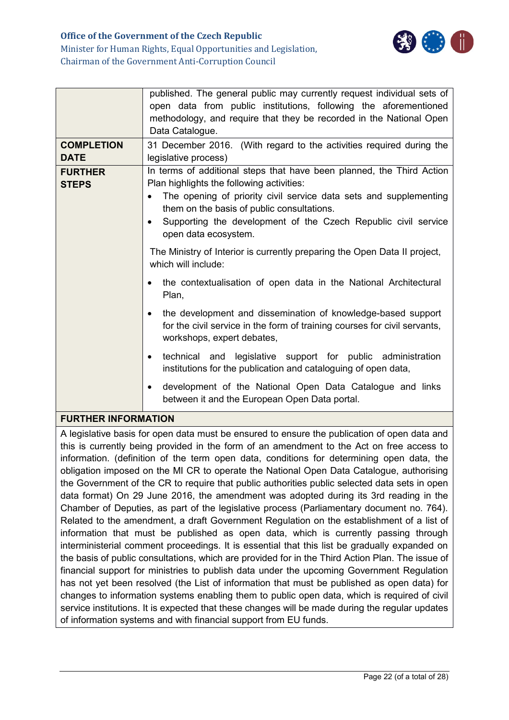

Minister for Human Rights, Equal Opportunities and Legislation, Chairman of the Government Anti-Corruption Council

|                                                                                                                                                                                                                                                                                                                                                                                                                                                                                                                                                                                                                                                                           | published. The general public may currently request individual sets of<br>open data from public institutions, following the aforementioned<br>methodology, and require that they be recorded in the National Open                                                                                                                                                                                                                                                                  |  |  |
|---------------------------------------------------------------------------------------------------------------------------------------------------------------------------------------------------------------------------------------------------------------------------------------------------------------------------------------------------------------------------------------------------------------------------------------------------------------------------------------------------------------------------------------------------------------------------------------------------------------------------------------------------------------------------|------------------------------------------------------------------------------------------------------------------------------------------------------------------------------------------------------------------------------------------------------------------------------------------------------------------------------------------------------------------------------------------------------------------------------------------------------------------------------------|--|--|
|                                                                                                                                                                                                                                                                                                                                                                                                                                                                                                                                                                                                                                                                           | Data Catalogue.                                                                                                                                                                                                                                                                                                                                                                                                                                                                    |  |  |
| <b>COMPLETION</b><br><b>DATE</b>                                                                                                                                                                                                                                                                                                                                                                                                                                                                                                                                                                                                                                          | 31 December 2016. (With regard to the activities required during the<br>legislative process)                                                                                                                                                                                                                                                                                                                                                                                       |  |  |
| <b>FURTHER</b><br><b>STEPS</b>                                                                                                                                                                                                                                                                                                                                                                                                                                                                                                                                                                                                                                            | In terms of additional steps that have been planned, the Third Action<br>Plan highlights the following activities:<br>The opening of priority civil service data sets and supplementing<br>them on the basis of public consultations.<br>Supporting the development of the Czech Republic civil service<br>$\bullet$<br>open data ecosystem.                                                                                                                                       |  |  |
|                                                                                                                                                                                                                                                                                                                                                                                                                                                                                                                                                                                                                                                                           | The Ministry of Interior is currently preparing the Open Data II project,<br>which will include:                                                                                                                                                                                                                                                                                                                                                                                   |  |  |
|                                                                                                                                                                                                                                                                                                                                                                                                                                                                                                                                                                                                                                                                           | the contextualisation of open data in the National Architectural<br>Plan,                                                                                                                                                                                                                                                                                                                                                                                                          |  |  |
|                                                                                                                                                                                                                                                                                                                                                                                                                                                                                                                                                                                                                                                                           | the development and dissemination of knowledge-based support<br>$\bullet$<br>for the civil service in the form of training courses for civil servants,<br>workshops, expert debates,                                                                                                                                                                                                                                                                                               |  |  |
|                                                                                                                                                                                                                                                                                                                                                                                                                                                                                                                                                                                                                                                                           | technical and legislative support for public administration<br>$\bullet$<br>institutions for the publication and cataloguing of open data,                                                                                                                                                                                                                                                                                                                                         |  |  |
|                                                                                                                                                                                                                                                                                                                                                                                                                                                                                                                                                                                                                                                                           | development of the National Open Data Catalogue and links<br>$\bullet$<br>between it and the European Open Data portal.                                                                                                                                                                                                                                                                                                                                                            |  |  |
| <b>FURTHER INFORMATION</b>                                                                                                                                                                                                                                                                                                                                                                                                                                                                                                                                                                                                                                                |                                                                                                                                                                                                                                                                                                                                                                                                                                                                                    |  |  |
| A legislative basis for open data must be ensured to ensure the publication of open data and<br>this is currently being provided in the form of an amendment to the Act on free access to<br>information. (definition of the term open data, conditions for determining open data, the<br>obligation imposed on the MI CR to operate the National Open Data Catalogue, authorising<br>the Government of the CR to require that public authorities public selected data sets in open<br>data format) On 29 June 2016, the amendment was adopted during its 3rd reading in the<br>Chamber of Deputies, as part of the legislative process (Parliamentary document no. 764). |                                                                                                                                                                                                                                                                                                                                                                                                                                                                                    |  |  |
|                                                                                                                                                                                                                                                                                                                                                                                                                                                                                                                                                                                                                                                                           | Related to the amendment, a draft Government Regulation on the establishment of a list of<br>information that must be published as open data, which is currently passing through<br>interministerial comment proceedings. It is essential that this list be gradually expanded on<br>the basis of public consultations, which are provided for in the Third Action Plan. The issue of<br>financial support for ministries to publish data under the upcoming Government Regulation |  |  |
| has not yet been resolved (the List of information that must be published as open data) for<br>changes to information systems enabling them to public open data, which is required of civil                                                                                                                                                                                                                                                                                                                                                                                                                                                                               |                                                                                                                                                                                                                                                                                                                                                                                                                                                                                    |  |  |

service institutions. It is expected that these changes will be made during the regular updates

of information systems and with financial support from EU funds.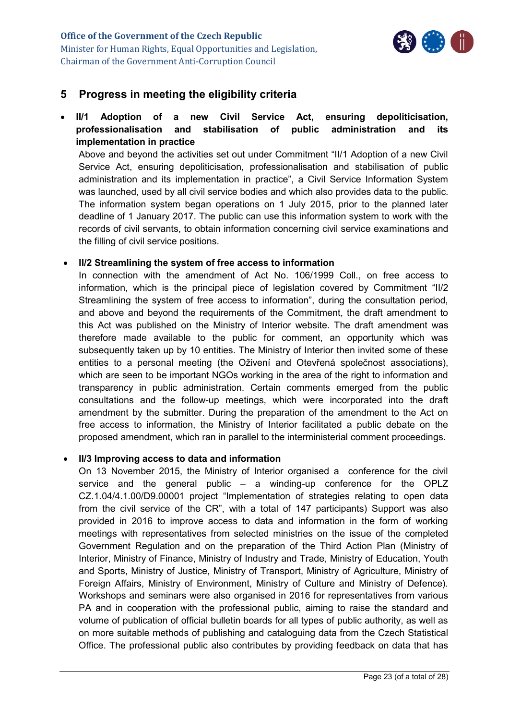

# <span id="page-22-0"></span>**5 Progress in meeting the eligibility criteria**

 **II/1 Adoption of a new Civil Service Act, ensuring depoliticisation, professionalisation and stabilisation of public administration and its implementation in practice**

Above and beyond the activities set out under Commitment "II/1 Adoption of a new Civil Service Act, ensuring depoliticisation, professionalisation and stabilisation of public administration and its implementation in practice", a Civil Service Information System was launched, used by all civil service bodies and which also provides data to the public. The information system began operations on 1 July 2015, prior to the planned later deadline of 1 January 2017. The public can use this information system to work with the records of civil servants, to obtain information concerning civil service examinations and the filling of civil service positions.

#### **II/2 Streamlining the system of free access to information**

In connection with the amendment of Act No. 106/1999 Coll., on free access to information, which is the principal piece of legislation covered by Commitment "II/2 Streamlining the system of free access to information", during the consultation period, and above and beyond the requirements of the Commitment, the draft amendment to this Act was published on the Ministry of Interior website. The draft amendment was therefore made available to the public for comment, an opportunity which was subsequently taken up by 10 entities. The Ministry of Interior then invited some of these entities to a personal meeting (the Oživení and Otevřená společnost associations), which are seen to be important NGOs working in the area of the right to information and transparency in public administration. Certain comments emerged from the public consultations and the follow-up meetings, which were incorporated into the draft amendment by the submitter. During the preparation of the amendment to the Act on free access to information, the Ministry of Interior facilitated a public debate on the proposed amendment, which ran in parallel to the interministerial comment proceedings.

#### **II/3 Improving access to data and information**

On 13 November 2015, the Ministry of Interior organised a conference for the civil service and the general public – a winding-up conference for the OPLZ CZ.1.04/4.1.00/D9.00001 project "Implementation of strategies relating to open data from the civil service of the CR", with a total of 147 participants) Support was also provided in 2016 to improve access to data and information in the form of working meetings with representatives from selected ministries on the issue of the completed Government Regulation and on the preparation of the Third Action Plan (Ministry of Interior, Ministry of Finance, Ministry of Industry and Trade, Ministry of Education, Youth and Sports, Ministry of Justice, Ministry of Transport, Ministry of Agriculture, Ministry of Foreign Affairs, Ministry of Environment, Ministry of Culture and Ministry of Defence). Workshops and seminars were also organised in 2016 for representatives from various PA and in cooperation with the professional public, aiming to raise the standard and volume of publication of official bulletin boards for all types of public authority, as well as on more suitable methods of publishing and cataloguing data from the Czech Statistical Office. The professional public also contributes by providing feedback on data that has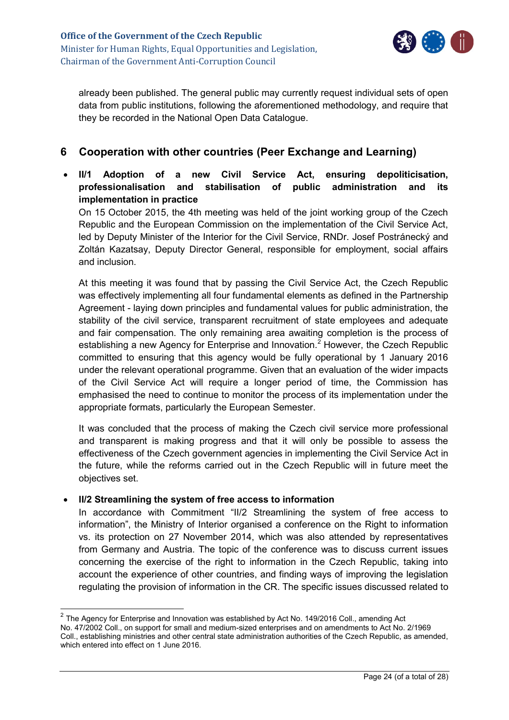

already been published. The general public may currently request individual sets of open data from public institutions, following the aforementioned methodology, and require that they be recorded in the National Open Data Catalogue.

# <span id="page-23-0"></span>**6 Cooperation with other countries (Peer Exchange and Learning)**

 **II/1 Adoption of a new Civil Service Act, ensuring depoliticisation, professionalisation and stabilisation of public administration and its implementation in practice**

On 15 October 2015, the 4th meeting was held of the joint working group of the Czech Republic and the European Commission on the implementation of the Civil Service Act, led by Deputy Minister of the Interior for the Civil Service, RNDr. Josef Postránecký and Zoltán Kazatsay, Deputy Director General, responsible for employment, social affairs and inclusion.

At this meeting it was found that by passing the Civil Service Act, the Czech Republic was effectively implementing all four fundamental elements as defined in the Partnership Agreement - laying down principles and fundamental values for public administration, the stability of the civil service, transparent recruitment of state employees and adequate and fair compensation. The only remaining area awaiting completion is the process of establishing a new Agency for Enterprise and Innovation.<sup>2</sup> However, the Czech Republic committed to ensuring that this agency would be fully operational by 1 January 2016 under the relevant operational programme. Given that an evaluation of the wider impacts of the Civil Service Act will require a longer period of time, the Commission has emphasised the need to continue to monitor the process of its implementation under the appropriate formats, particularly the European Semester.

It was concluded that the process of making the Czech civil service more professional and transparent is making progress and that it will only be possible to assess the effectiveness of the Czech government agencies in implementing the Civil Service Act in the future, while the reforms carried out in the Czech Republic will in future meet the objectives set.

#### **II/2 Streamlining the system of free access to information**

 $\overline{a}$ 

In accordance with Commitment "II/2 Streamlining the system of free access to information", the Ministry of Interior organised a conference on the Right to information vs. its protection on 27 November 2014, which was also attended by representatives from Germany and Austria. The topic of the conference was to discuss current issues concerning the exercise of the right to information in the Czech Republic, taking into account the experience of other countries, and finding ways of improving the legislation regulating the provision of information in the CR. The specific issues discussed related to

 $^{2}$  The Agency for Enterprise and Innovation was established by Act No. 149/2016 Coll., amending Act No. 47/2002 Coll., on support for small and medium-sized enterprises and on amendments to Act No. 2/1969 Coll., establishing ministries and other central state administration authorities of the Czech Republic, as amended, which entered into effect on 1 June 2016.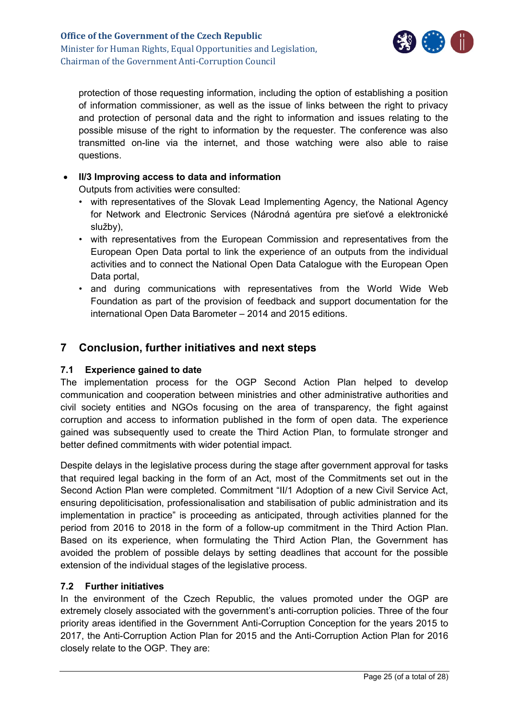

protection of those requesting information, including the option of establishing a position of information commissioner, as well as the issue of links between the right to privacy and protection of personal data and the right to information and issues relating to the possible misuse of the right to information by the requester. The conference was also transmitted on-line via the internet, and those watching were also able to raise questions.

#### **II/3 Improving access to data and information**

Outputs from activities were consulted:

- with representatives of the Slovak Lead Implementing Agency, the National Agency for Network and Electronic Services (Národná agentúra pre sieťové a elektronické služby),
- with representatives from the European Commission and representatives from the European Open Data portal to link the experience of an outputs from the individual activities and to connect the National Open Data Catalogue with the European Open Data portal,
- and during communications with representatives from the World Wide Web Foundation as part of the provision of feedback and support documentation for the international Open Data Barometer – 2014 and 2015 editions.

# <span id="page-24-0"></span>**7 Conclusion, further initiatives and next steps**

#### <span id="page-24-1"></span>**7.1 Experience gained to date**

The implementation process for the OGP Second Action Plan helped to develop communication and cooperation between ministries and other administrative authorities and civil society entities and NGOs focusing on the area of transparency, the fight against corruption and access to information published in the form of open data. The experience gained was subsequently used to create the Third Action Plan, to formulate stronger and better defined commitments with wider potential impact.

Despite delays in the legislative process during the stage after government approval for tasks that required legal backing in the form of an Act, most of the Commitments set out in the Second Action Plan were completed. Commitment "II/1 Adoption of a new Civil Service Act, ensuring depoliticisation, professionalisation and stabilisation of public administration and its implementation in practice" is proceeding as anticipated, through activities planned for the period from 2016 to 2018 in the form of a follow-up commitment in the Third Action Plan. Based on its experience, when formulating the Third Action Plan, the Government has avoided the problem of possible delays by setting deadlines that account for the possible extension of the individual stages of the legislative process.

#### <span id="page-24-2"></span>**7.2 Further initiatives**

In the environment of the Czech Republic, the values promoted under the OGP are extremely closely associated with the government's anti-corruption policies. Three of the four priority areas identified in the Government Anti-Corruption Conception for the years 2015 to 2017, the Anti-Corruption Action Plan for 2015 and the Anti-Corruption Action Plan for 2016 closely relate to the OGP. They are: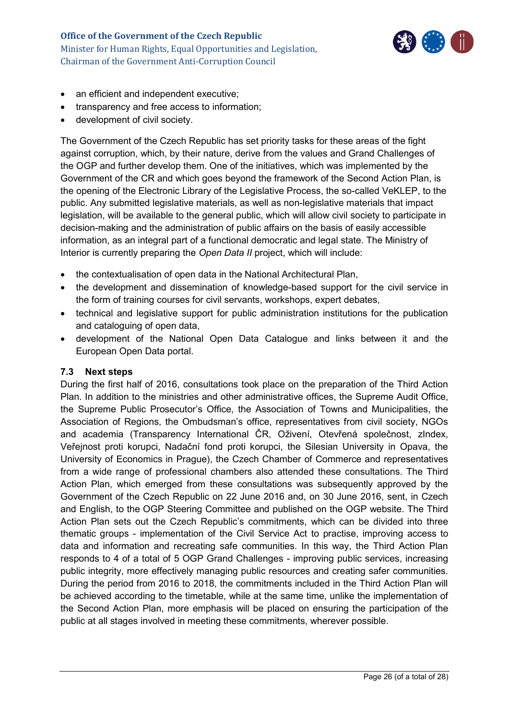

- an efficient and independent executive;
- transparency and free access to information;
- development of civil society.

The Government of the Czech Republic has set priority tasks for these areas of the fight against corruption, which, by their nature, derive from the values and Grand Challenges of the OGP and further develop them. One of the initiatives, which was implemented by the Government of the CR and which goes beyond the framework of the Second Action Plan, is the opening of the Electronic Library of the Legislative Process, the so-called VeKLEP, to the public. Any submitted legislative materials, as well as non-legislative materials that impact legislation, will be available to the general public, which will allow civil society to participate in decision-making and the administration of public affairs on the basis of easily accessible information, as an integral part of a functional democratic and legal state. The Ministry of Interior is currently preparing the *Open Data II* project, which will include:

- the contextualisation of open data in the National Architectural Plan,
- the development and dissemination of knowledge-based support for the civil service in the form of training courses for civil servants, workshops, expert debates,
- technical and legislative support for public administration institutions for the publication and cataloguing of open data,
- development of the National Open Data Catalogue and links between it and the European Open Data portal.

#### <span id="page-25-0"></span>**7.3 Next steps**

During the first half of 2016, consultations took place on the preparation of the Third Action Plan. In addition to the ministries and other administrative offices, the Supreme Audit Office, the Supreme Public Prosecutor's Office, the Association of Towns and Municipalities, the Association of Regions, the Ombudsman's office, representatives from civil society, NGOs and academia (Transparency International ČR, Oživení, Otevřená společnost, zIndex, Veřejnost proti korupci, Nadační fond proti korupci, the Silesian University in Opava, the University of Economics in Prague), the Czech Chamber of Commerce and representatives from a wide range of professional chambers also attended these consultations. The Third Action Plan, which emerged from these consultations was subsequently approved by the Government of the Czech Republic on 22 June 2016 and, on 30 June 2016, sent, in Czech and English, to the OGP Steering Committee and published on the OGP website. The Third Action Plan sets out the Czech Republic's commitments, which can be divided into three thematic groups - implementation of the Civil Service Act to practise, improving access to data and information and recreating safe communities. In this way, the Third Action Plan responds to 4 of a total of 5 OGP Grand Challenges - improving public services, increasing public integrity, more effectively managing public resources and creating safer communities. During the period from 2016 to 2018, the commitments included in the Third Action Plan will be achieved according to the timetable, while at the same time, unlike the implementation of the Second Action Plan, more emphasis will be placed on ensuring the participation of the public at all stages involved in meeting these commitments, wherever possible.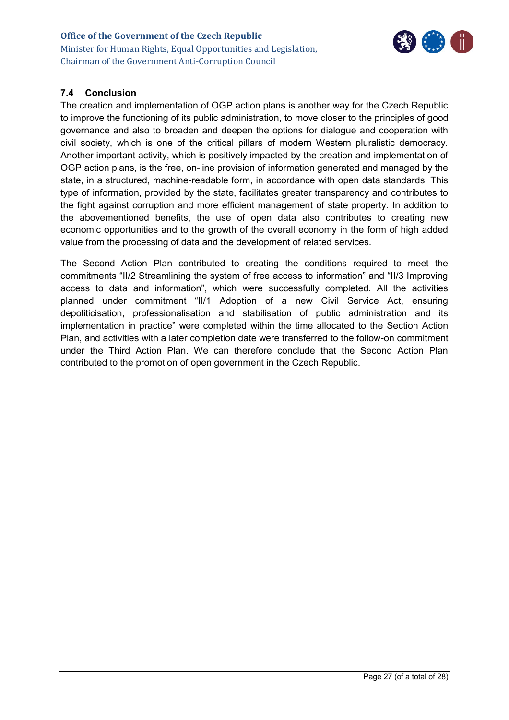

### <span id="page-26-0"></span>**7.4 Conclusion**

The creation and implementation of OGP action plans is another way for the Czech Republic to improve the functioning of its public administration, to move closer to the principles of good governance and also to broaden and deepen the options for dialogue and cooperation with civil society, which is one of the critical pillars of modern Western pluralistic democracy. Another important activity, which is positively impacted by the creation and implementation of OGP action plans, is the free, on-line provision of information generated and managed by the state, in a structured, machine-readable form, in accordance with open data standards. This type of information, provided by the state, facilitates greater transparency and contributes to the fight against corruption and more efficient management of state property. In addition to the abovementioned benefits, the use of open data also contributes to creating new economic opportunities and to the growth of the overall economy in the form of high added value from the processing of data and the development of related services.

The Second Action Plan contributed to creating the conditions required to meet the commitments "II/2 Streamlining the system of free access to information" and "II/3 Improving access to data and information", which were successfully completed. All the activities planned under commitment "II/1 Adoption of a new Civil Service Act, ensuring depoliticisation, professionalisation and stabilisation of public administration and its implementation in practice" were completed within the time allocated to the Section Action Plan, and activities with a later completion date were transferred to the follow-on commitment under the Third Action Plan. We can therefore conclude that the Second Action Plan contributed to the promotion of open government in the Czech Republic.